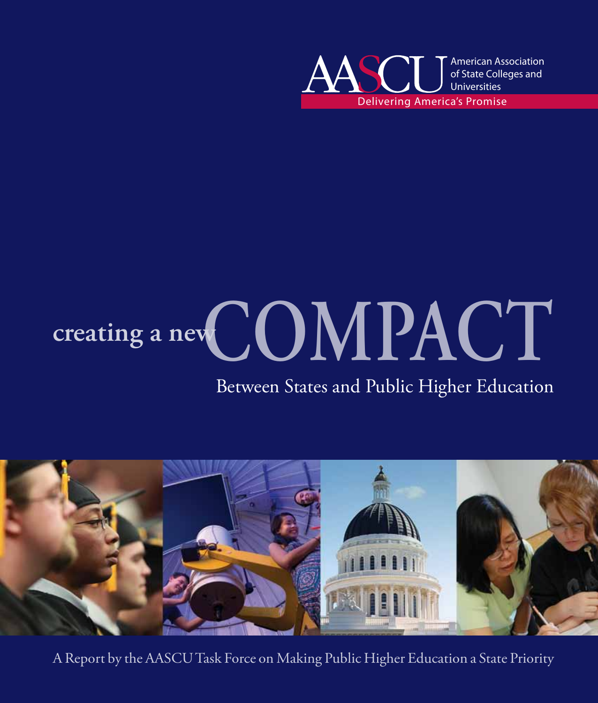

# **creating a newCOMPACT**

### Between States and Public Higher Education



A Report by the AASCU Task Force on Making Public Higher Education a State Priority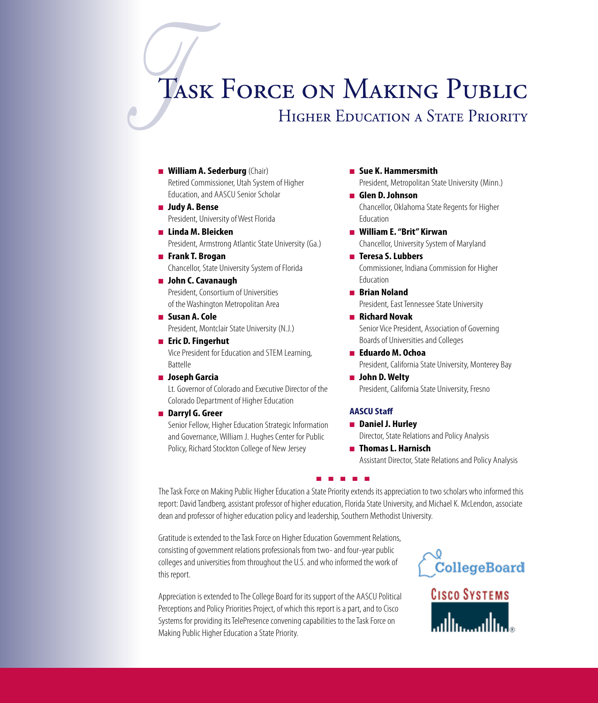# **TAS** Task Force on Making Public

### HIGHER EDUCATION A STATE PRIORITY

- **n William A. Sederburg** (Chair) Retired Commissioner, Utah System of Higher Education, and AASCU Senior Scholar
- <sup>n</sup> **Judy A. Bense** President, University of West Florida
- <sup>n</sup> **Linda M. Bleicken** President, Armstrong Atlantic State University (Ga.)
- <sup>n</sup> **Frank T. Brogan** Chancellor, State University System of Florida
- John C. Cavanaugh President, Consortium of Universities of the Washington Metropolitan Area
- Susan A. Cole President, Montclair State University (N.J.)
- **■ Eric D. Fingerhut** Vice President for Education and STEM Learning, Battelle
- <sup>n</sup> **Joseph Garcia**

Lt. Governor of Colorado and Executive Director of the Colorado Department of Higher Education

■ Darryl G. Greer

Senior Fellow, Higher Education Strategic Information and Governance, William J. Hughes Center for Public Policy, Richard Stockton College of New Jersey

- <sup>n</sup> **Sue K. Hammersmith** President, Metropolitan State University (Minn.)
- <sup>n</sup> **Glen D. Johnson** Chancellor, Oklahoma State Regents for Higher Education
- William E. "Brit" Kirwan Chancellor, University System of Maryland
- **Teresa S. Lubbers** Commissioner, Indiana Commission for Higher Education
- **Brian Noland** President, East Tennessee State University
- <sup>n</sup> **Richard Novak** Senior Vice President, Association of Governing Boards of Universities and Colleges
- <sup>n</sup> **Eduardo M. Ochoa** President, California State University, Monterey Bay ■ John D. Welty

President, California State University, Fresno

### **AASCU Staff**

- <sup>n</sup> **Daniel J. Hurley** Director, State Relations and Policy Analysis
- **■** Thomas L. Harnisch Assistant Director, State Relations and Policy Analysis

The Task Force on Making Public Higher Education a State Priority extends its appreciation to two scholars who informed this report: David Tandberg, assistant professor of higher education, Florida State University, and Michael K. McLendon, associate dean and professor of higher education policy and leadership, Southern Methodist University.

n n n n n

Gratitude is extended to the Task Force on Higher Education Government Relations, consisting of government relations professionals from two- and four-year public colleges and universities from throughout the U.S. and who informed the work of this report.

Appreciation is extended to The College Board for its support of the AASCU Political Perceptions and Policy Priorities Project, of which this report is a part, and to Cisco Systems for providing its TelePresence convening capabilities to the Task Force on Making Public Higher Education a State Priority.



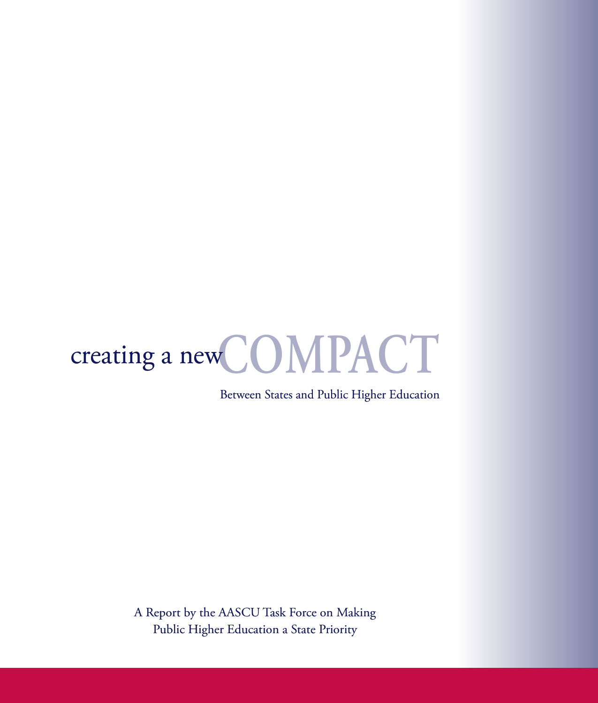

Between States and Public Higher Education

A Report by the AASCU Task Force on Making Public Higher Education a State Priority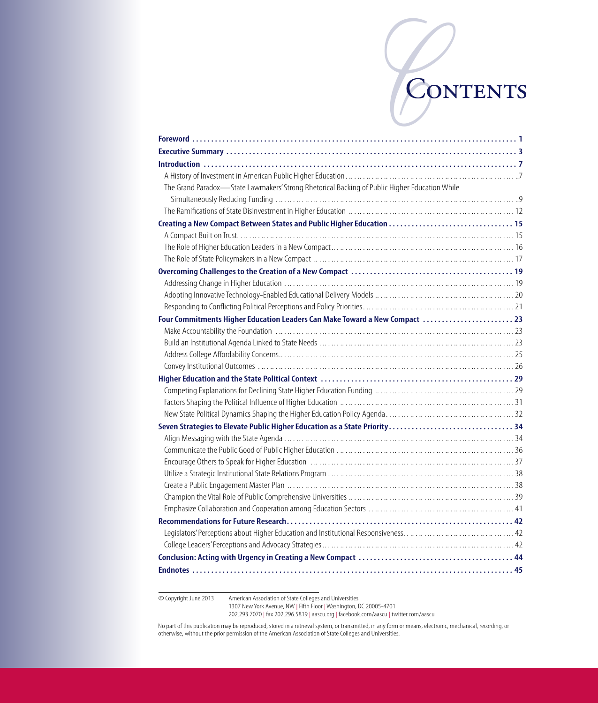# CONTENTS

| The Grand Paradox-State Lawmakers' Strong Rhetorical Backing of Public Higher Education While |  |
|-----------------------------------------------------------------------------------------------|--|
|                                                                                               |  |
|                                                                                               |  |
| Creating a New Compact Between States and Public Higher Education  15                         |  |
|                                                                                               |  |
|                                                                                               |  |
|                                                                                               |  |
|                                                                                               |  |
|                                                                                               |  |
|                                                                                               |  |
|                                                                                               |  |
| Four Commitments Higher Education Leaders Can Make Toward a New Compact  23                   |  |
|                                                                                               |  |
|                                                                                               |  |
|                                                                                               |  |
|                                                                                               |  |
|                                                                                               |  |
|                                                                                               |  |
|                                                                                               |  |
|                                                                                               |  |
| Seven Strategies to Elevate Public Higher Education as a State Priority  34                   |  |
|                                                                                               |  |
|                                                                                               |  |
|                                                                                               |  |
|                                                                                               |  |
|                                                                                               |  |
|                                                                                               |  |
|                                                                                               |  |
|                                                                                               |  |
|                                                                                               |  |
|                                                                                               |  |
|                                                                                               |  |
|                                                                                               |  |

© Copyright June 2013 American Association of State Colleges and Universities 1307 New York Avenue, NW | Fifth Floor | Washington, DC 20005-4701 202.293.7070 | fax 202.296.5819 | aascu.org | facebook.com/aascu | twitter.com/aascu

No part of this publication may be reproduced, stored in a retrieval system, or transmitted, in any form or means, electronic, mechanical, recording, or<br>otherwise, without the prior permission of the American Association o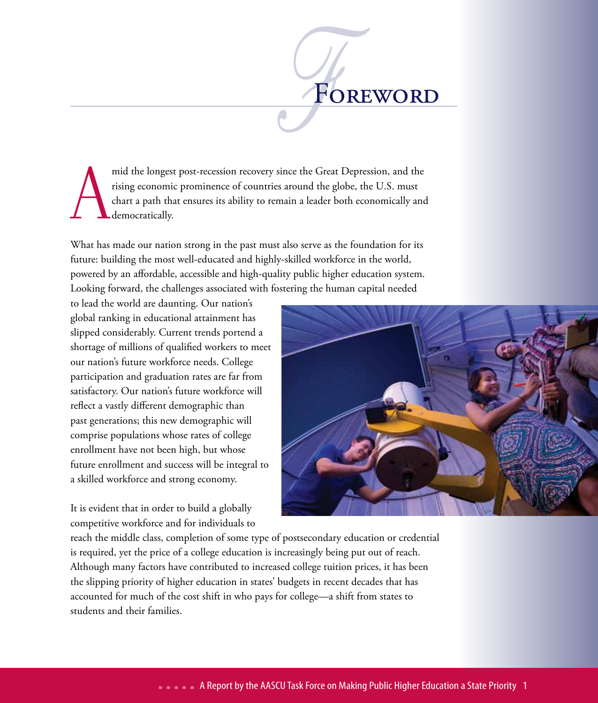A mid the longest post-recession recovery since the Great Depression, and the rising economic prominence of countries around the globe, the U.S. must chart a path that ensures its ability to remain a leader both economically and democratically.

 $\frac{1}{\sqrt{2}}$ 

Foreword

What has made our nation strong in the past must also serve as the foundation for its future: building the most well-educated and highly-skilled workforce in the world, powered by an affordable, accessible and high-quality public higher education system. Looking forward, the challenges associated with fostering the human capital needed

to lead the world are daunting. Our nation's global ranking in educational attainment has slipped considerably. Current trends portend a shortage of millions of qualified workers to meet our nation's future workforce needs. College participation and graduation rates are far from satisfactory. Our nation's future workforce will reflect a vastly different demographic than past generations; this new demographic will comprise populations whose rates of college enrollment have not been high, but whose future enrollment and success will be integral to a skilled workforce and strong economy.

It is evident that in order to build a globally competitive workforce and for individuals to



reach the middle class, completion of some type of postsecondary education or credential is required, yet the price of a college education is increasingly being put out of reach. Although many factors have contributed to increased college tuition prices, it has been the slipping priority of higher education in states' budgets in recent decades that has accounted for much of the cost shift in who pays for college—a shift from states to students and their families.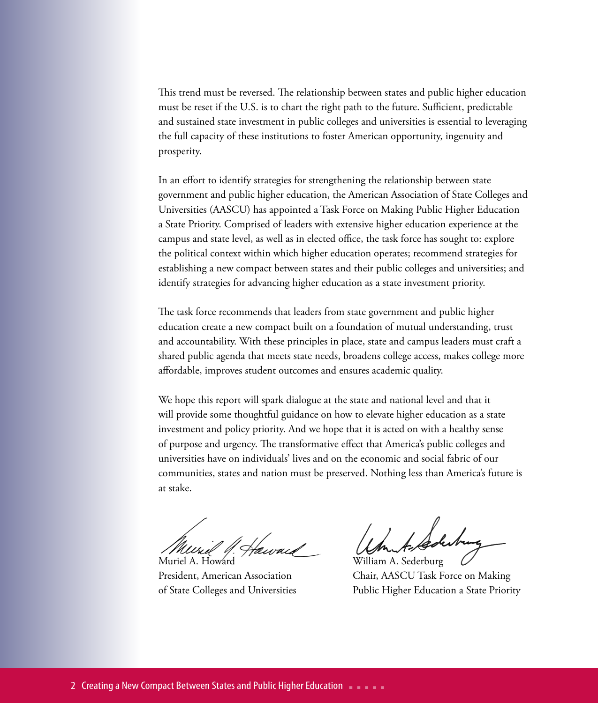This trend must be reversed. The relationship between states and public higher education must be reset if the U.S. is to chart the right path to the future. Sufficient, predictable and sustained state investment in public colleges and universities is essential to leveraging the full capacity of these institutions to foster American opportunity, ingenuity and prosperity.

In an effort to identify strategies for strengthening the relationship between state government and public higher education, the American Association of State Colleges and Universities (AASCU) has appointed a Task Force on Making Public Higher Education a State Priority. Comprised of leaders with extensive higher education experience at the campus and state level, as well as in elected office, the task force has sought to: explore the political context within which higher education operates; recommend strategies for establishing a new compact between states and their public colleges and universities; and identify strategies for advancing higher education as a state investment priority.

The task force recommends that leaders from state government and public higher education create a new compact built on a foundation of mutual understanding, trust and accountability. With these principles in place, state and campus leaders must craft a shared public agenda that meets state needs, broadens college access, makes college more affordable, improves student outcomes and ensures academic quality.

We hope this report will spark dialogue at the state and national level and that it will provide some thoughtful guidance on how to elevate higher education as a state investment and policy priority. And we hope that it is acted on with a healthy sense of purpose and urgency. The transformative effect that America's public colleges and universities have on individuals' lives and on the economic and social fabric of our communities, states and nation must be preserved. Nothing less than America's future is at stake.

Muriel A. Howard Nilliam A. Sederburg President, American Association Chair, AASCU Task Force on Making of State Colleges and Universities Public Higher Education a State Priority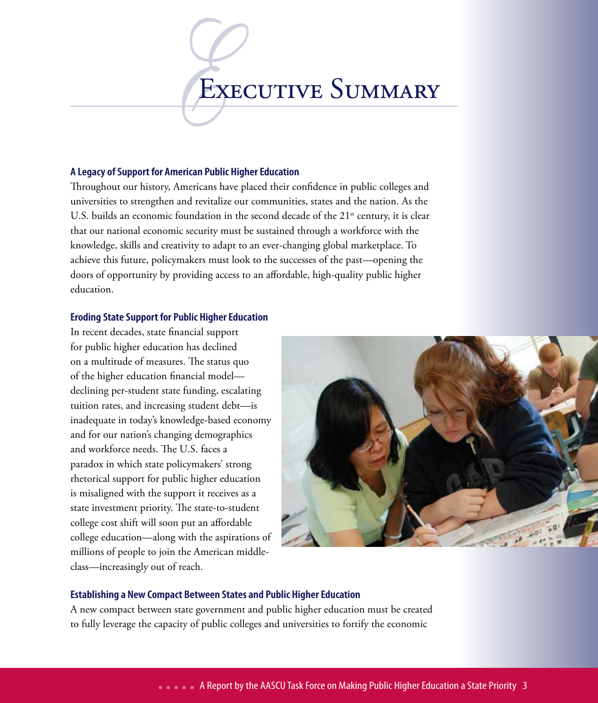### EXECUTIVE SUMMARY

### **A Legacy of Support for American Public Higher Education**

Throughout our history, Americans have placed their confidence in public colleges and universities to strengthen and revitalize our communities, states and the nation. As the U.S. builds an economic foundation in the second decade of the  $21<sup>st</sup>$  century, it is clear that our national economic security must be sustained through a workforce with the knowledge, skills and creativity to adapt to an ever-changing global marketplace. To achieve this future, policymakers must look to the successes of the past—opening the doors of opportunity by providing access to an affordable, high-quality public higher education.

### **Eroding State Support for Public Higher Education**

In recent decades, state financial support for public higher education has declined on a multitude of measures. The status quo of the higher education financial model declining per-student state funding, escalating tuition rates, and increasing student debt—is inadequate in today's knowledge-based economy and for our nation's changing demographics and workforce needs. The U.S. faces a paradox in which state policymakers' strong rhetorical support for public higher education is misaligned with the support it receives as a state investment priority. The state-to-student college cost shift will soon put an affordable college education—along with the aspirations of millions of people to join the American middleclass—increasingly out of reach.



### **Establishing a New Compact Between States and Public Higher Education**

A new compact between state government and public higher education must be created to fully leverage the capacity of public colleges and universities to fortify the economic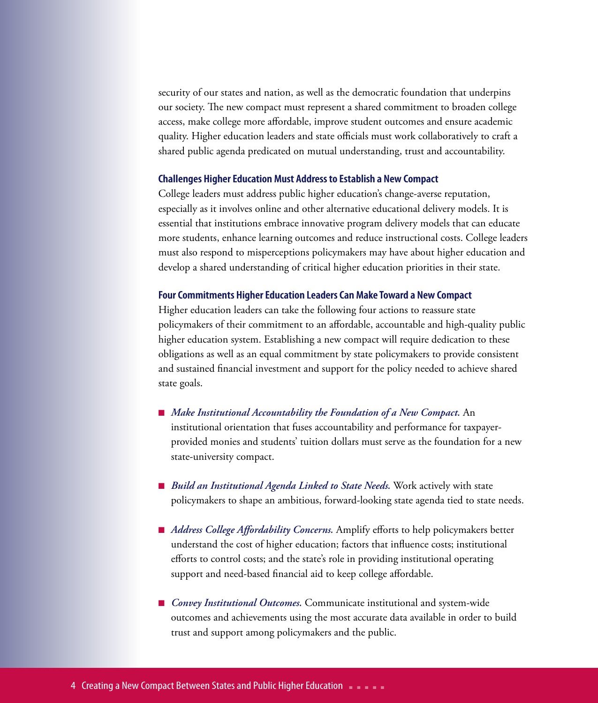security of our states and nation, as well as the democratic foundation that underpins our society. The new compact must represent a shared commitment to broaden college access, make college more affordable, improve student outcomes and ensure academic quality. Higher education leaders and state officials must work collaboratively to craft a shared public agenda predicated on mutual understanding, trust and accountability.

#### **Challenges Higher Education Must Address to Establish a New Compact**

College leaders must address public higher education's change-averse reputation, especially as it involves online and other alternative educational delivery models. It is essential that institutions embrace innovative program delivery models that can educate more students, enhance learning outcomes and reduce instructional costs. College leaders must also respond to misperceptions policymakers may have about higher education and develop a shared understanding of critical higher education priorities in their state.

#### **Four Commitments Higher Education Leaders Can Make Toward a New Compact**

Higher education leaders can take the following four actions to reassure state policymakers of their commitment to an affordable, accountable and high-quality public higher education system. Establishing a new compact will require dedication to these obligations as well as an equal commitment by state policymakers to provide consistent and sustained financial investment and support for the policy needed to achieve shared state goals.

- *Make Institutional Accountability the Foundation of a New Compact.* An institutional orientation that fuses accountability and performance for taxpayerprovided monies and students' tuition dollars must serve as the foundation for a new state-university compact.
- *Build an Institutional Agenda Linked to State Needs*. Work actively with state policymakers to shape an ambitious, forward-looking state agenda tied to state needs.
- *Address College Affordability Concerns*. Amplify efforts to help policymakers better understand the cost of higher education; factors that influence costs; institutional efforts to control costs; and the state's role in providing institutional operating support and need-based financial aid to keep college affordable.
- *Convey Institutional Outcomes*. Communicate institutional and system-wide outcomes and achievements using the most accurate data available in order to build trust and support among policymakers and the public.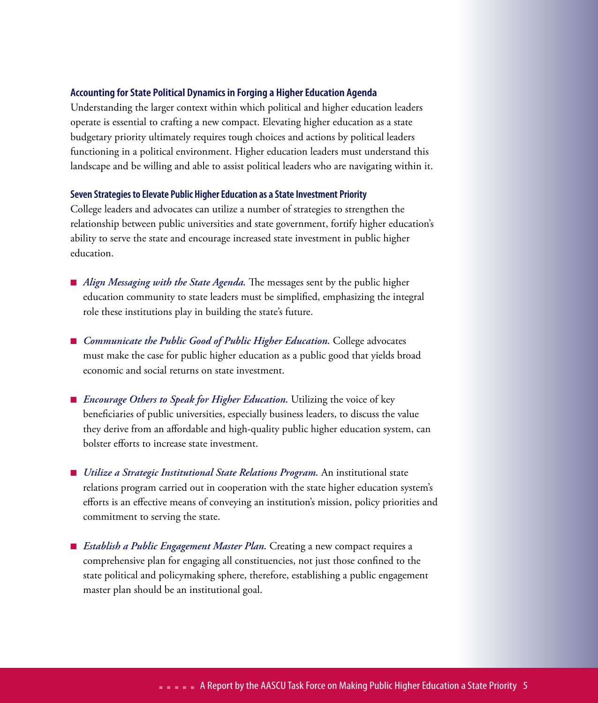### **Accounting for State Political Dynamics in Forging a Higher Education Agenda**

Understanding the larger context within which political and higher education leaders operate is essential to crafting a new compact. Elevating higher education as a state budgetary priority ultimately requires tough choices and actions by political leaders functioning in a political environment. Higher education leaders must understand this landscape and be willing and able to assist political leaders who are navigating within it.

#### **Seven Strategies to Elevate Public Higher Education as a State Investment Priority**

College leaders and advocates can utilize a number of strategies to strengthen the relationship between public universities and state government, fortify higher education's ability to serve the state and encourage increased state investment in public higher education.

- *Align Messaging with the State Agenda*. The messages sent by the public higher education community to state leaders must be simplified, emphasizing the integral role these institutions play in building the state's future.
- *Communicate the Public Good of Public Higher Education*. College advocates must make the case for public higher education as a public good that yields broad economic and social returns on state investment.
- *Encourage Others to Speak for Higher Education*. Utilizing the voice of key beneficiaries of public universities, especially business leaders, to discuss the value they derive from an affordable and high-quality public higher education system, can bolster efforts to increase state investment.
- *Utilize a Strategic Institutional State Relations Program*. An institutional state relations program carried out in cooperation with the state higher education system's efforts is an effective means of conveying an institution's mission, policy priorities and commitment to serving the state.
- *Establish a Public Engagement Master Plan*. Creating a new compact requires a comprehensive plan for engaging all constituencies, not just those confined to the state political and policymaking sphere, therefore, establishing a public engagement master plan should be an institutional goal.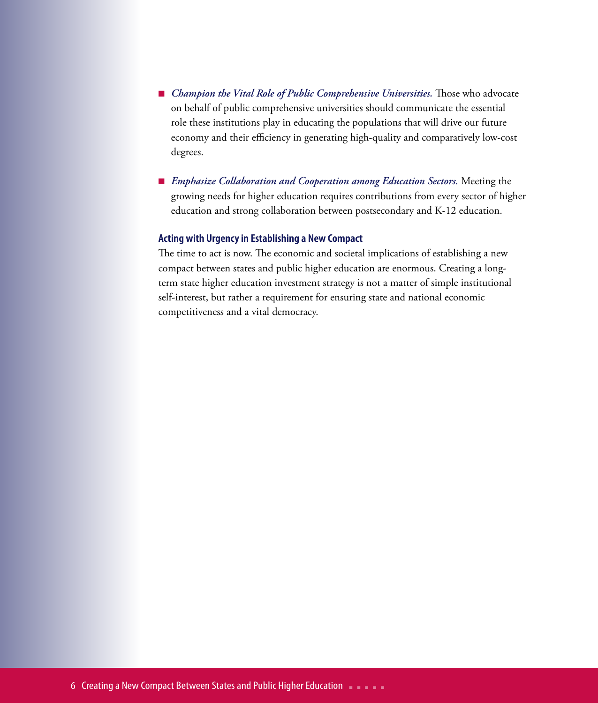- *Champion the Vital Role of Public Comprehensive Universities*. Those who advocate on behalf of public comprehensive universities should communicate the essential role these institutions play in educating the populations that will drive our future economy and their efficiency in generating high-quality and comparatively low-cost degrees.
- *Emphasize Collaboration and Cooperation among Education Sectors*. Meeting the growing needs for higher education requires contributions from every sector of higher education and strong collaboration between postsecondary and K-12 education.

### **Acting with Urgency in Establishing a New Compact**

The time to act is now. The economic and societal implications of establishing a new compact between states and public higher education are enormous. Creating a longterm state higher education investment strategy is not a matter of simple institutional self-interest, but rather a requirement for ensuring state and national economic competitiveness and a vital democracy.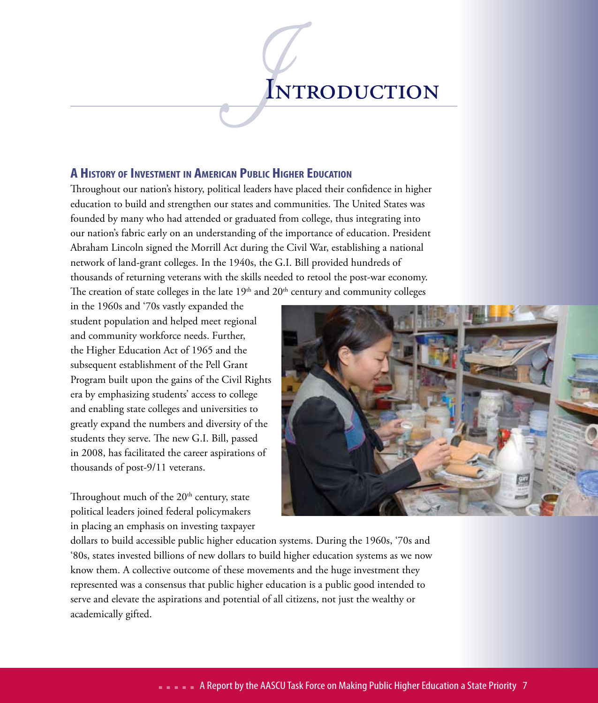# IN INTRODUCTION

### **A History of Investment in American Public Higher Education**

Throughout our nation's history, political leaders have placed their confidence in higher education to build and strengthen our states and communities. The United States was founded by many who had attended or graduated from college, thus integrating into our nation's fabric early on an understanding of the importance of education. President Abraham Lincoln signed the Morrill Act during the Civil War, establishing a national network of land-grant colleges. In the 1940s, the G.I. Bill provided hundreds of thousands of returning veterans with the skills needed to retool the post-war economy. The creation of state colleges in the late  $19<sup>th</sup>$  and  $20<sup>th</sup>$  century and community colleges

in the 1960s and '70s vastly expanded the student population and helped meet regional and community workforce needs. Further, the Higher Education Act of 1965 and the subsequent establishment of the Pell Grant Program built upon the gains of the Civil Rights era by emphasizing students' access to college and enabling state colleges and universities to greatly expand the numbers and diversity of the students they serve. The new G.I. Bill, passed in 2008, has facilitated the career aspirations of thousands of post-9/11 veterans.

Throughout much of the  $20<sup>th</sup>$  century, state political leaders joined federal policymakers in placing an emphasis on investing taxpayer



dollars to build accessible public higher education systems. During the 1960s, '70s and '80s, states invested billions of new dollars to build higher education systems as we now know them. A collective outcome of these movements and the huge investment they represented was a consensus that public higher education is a public good intended to serve and elevate the aspirations and potential of all citizens, not just the wealthy or academically gifted.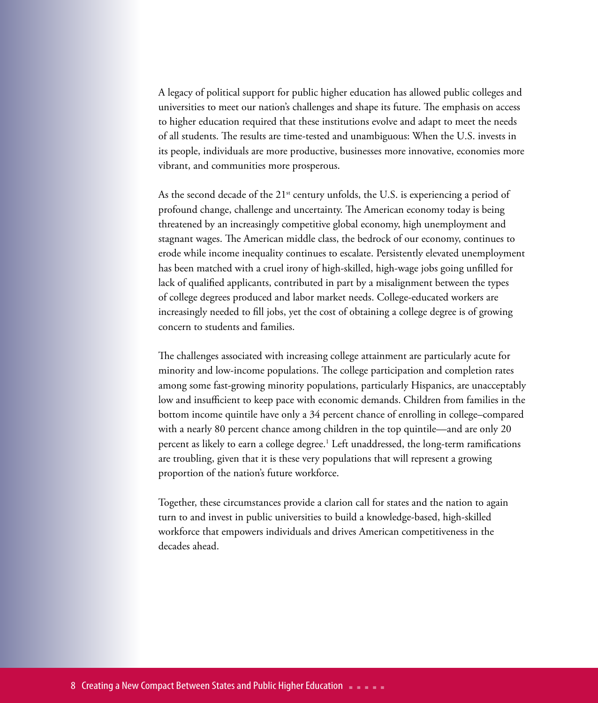A legacy of political support for public higher education has allowed public colleges and universities to meet our nation's challenges and shape its future. The emphasis on access to higher education required that these institutions evolve and adapt to meet the needs of all students. The results are time-tested and unambiguous: When the U.S. invests in its people, individuals are more productive, businesses more innovative, economies more vibrant, and communities more prosperous.

As the second decade of the  $21<sup>st</sup>$  century unfolds, the U.S. is experiencing a period of profound change, challenge and uncertainty. The American economy today is being threatened by an increasingly competitive global economy, high unemployment and stagnant wages. The American middle class, the bedrock of our economy, continues to erode while income inequality continues to escalate. Persistently elevated unemployment has been matched with a cruel irony of high-skilled, high-wage jobs going unfilled for lack of qualified applicants, contributed in part by a misalignment between the types of college degrees produced and labor market needs. College-educated workers are increasingly needed to fill jobs, yet the cost of obtaining a college degree is of growing concern to students and families.

The challenges associated with increasing college attainment are particularly acute for minority and low-income populations. The college participation and completion rates among some fast-growing minority populations, particularly Hispanics, are unacceptably low and insufficient to keep pace with economic demands. Children from families in the bottom income quintile have only a 34 percent chance of enrolling in college–compared with a nearly 80 percent chance among children in the top quintile—and are only 20 percent as likely to earn a college degree.1 Left unaddressed, the long-term ramifications are troubling, given that it is these very populations that will represent a growing proportion of the nation's future workforce.

Together, these circumstances provide a clarion call for states and the nation to again turn to and invest in public universities to build a knowledge-based, high-skilled workforce that empowers individuals and drives American competitiveness in the decades ahead.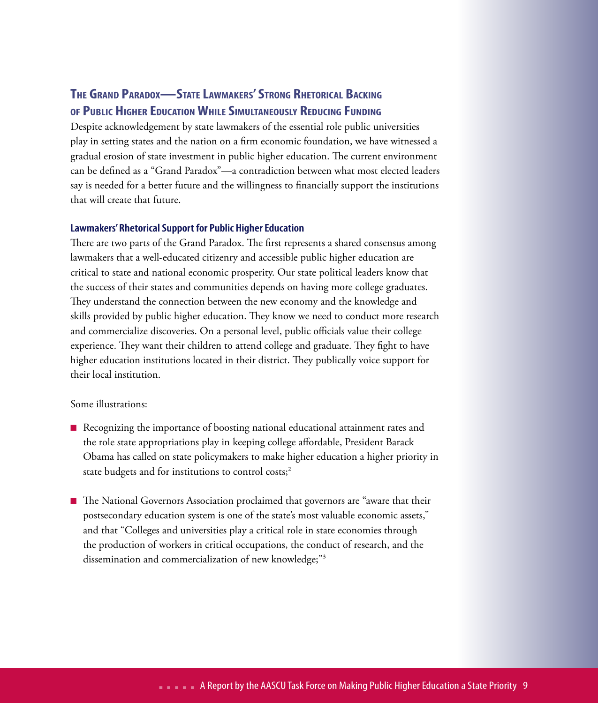### **The Grand Paradox—State Lawmakers' Strong Rhetorical Backing of Public Higher EducationWhile Simultaneously Reducing Funding**

Despite acknowledgement by state lawmakers of the essential role public universities play in setting states and the nation on a firm economic foundation, we have witnessed a gradual erosion of state investment in public higher education. The current environment can be defined as a "Grand Paradox"—a contradiction between what most elected leaders say is needed for a better future and the willingness to financially support the institutions that will create that future.

### **Lawmakers' Rhetorical Support for Public Higher Education**

There are two parts of the Grand Paradox. The first represents a shared consensus among lawmakers that a well-educated citizenry and accessible public higher education are critical to state and national economic prosperity. Our state political leaders know that the success of their states and communities depends on having more college graduates. They understand the connection between the new economy and the knowledge and skills provided by public higher education. They know we need to conduct more research and commercialize discoveries. On a personal level, public officials value their college experience. They want their children to attend college and graduate. They fight to have higher education institutions located in their district. They publically voice support for their local institution.

Some illustrations:

- Recognizing the importance of boosting national educational attainment rates and the role state appropriations play in keeping college affordable, President Barack Obama has called on state policymakers to make higher education a higher priority in state budgets and for institutions to control costs;<sup>2</sup>
- n The National Governors Association proclaimed that governors are "aware that their postsecondary education system is one of the state's most valuable economic assets," and that "Colleges and universities play a critical role in state economies through the production of workers in critical occupations, the conduct of research, and the dissemination and commercialization of new knowledge;"3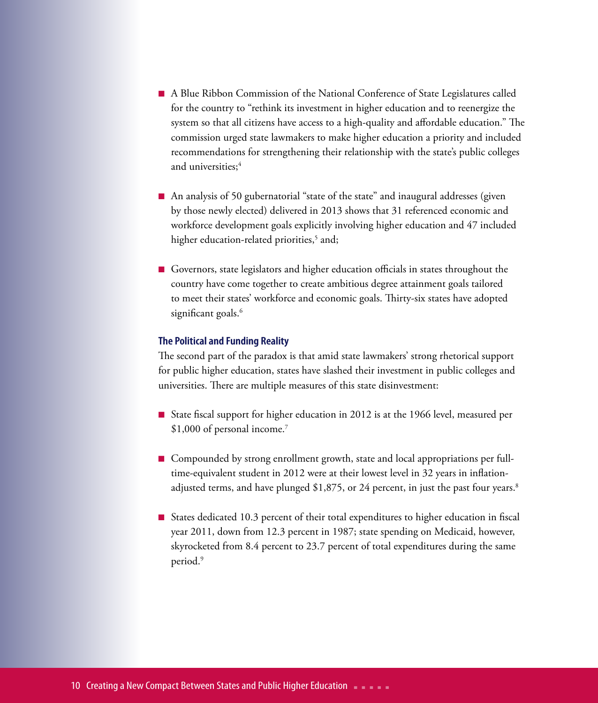- n A Blue Ribbon Commission of the National Conference of State Legislatures called for the country to "rethink its investment in higher education and to reenergize the system so that all citizens have access to a high-quality and affordable education." The commission urged state lawmakers to make higher education a priority and included recommendations for strengthening their relationship with the state's public colleges and universities: $4$
- An analysis of 50 gubernatorial "state of the state" and inaugural addresses (given by those newly elected) delivered in 2013 shows that 31 referenced economic and workforce development goals explicitly involving higher education and 47 included higher education-related priorities,<sup>5</sup> and;
- n Governors, state legislators and higher education officials in states throughout the country have come together to create ambitious degree attainment goals tailored to meet their states' workforce and economic goals. Thirty-six states have adopted significant goals.<sup>6</sup>

### **The Political and Funding Reality**

The second part of the paradox is that amid state lawmakers' strong rhetorical support for public higher education, states have slashed their investment in public colleges and universities. There are multiple measures of this state disinvestment:

- State fiscal support for higher education in 2012 is at the 1966 level, measured per \$1,000 of personal income.7
- Compounded by strong enrollment growth, state and local appropriations per fulltime-equivalent student in 2012 were at their lowest level in 32 years in inflationadjusted terms, and have plunged \$1,875, or 24 percent, in just the past four years.<sup>8</sup>
- States dedicated 10.3 percent of their total expenditures to higher education in fiscal year 2011, down from 12.3 percent in 1987; state spending on Medicaid, however, skyrocketed from 8.4 percent to 23.7 percent of total expenditures during the same period.<sup>9</sup>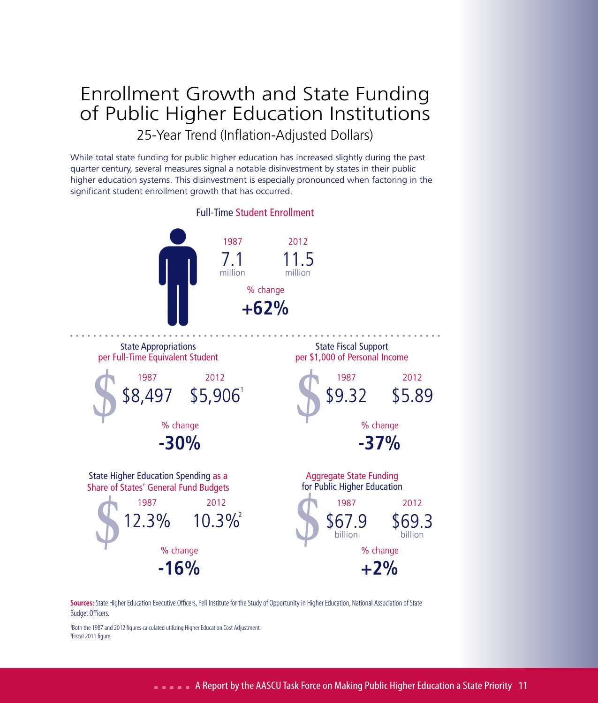### Enrollment Growth and State Funding of Public Higher Education Institutions

25-Year Trend (Inflation-Adjusted Dollars)

While total state funding for public higher education has increased slightly during the past quarter century, several measures signal a notable disinvestment by states in their public higher education systems. This disinvestment is especially pronounced when factoring in the significant student enrollment growth that has occurred.



**Sources:** State Higher Education Executive Officers, Pell Institute for the Study of Opportunity in Higher Education, National Association of State Budget Officers.

1 Both the 1987 and 2012 figures calculated utilizing Higher Education Cost Adjustment. <sup>2</sup>Fiscal 2011 figure.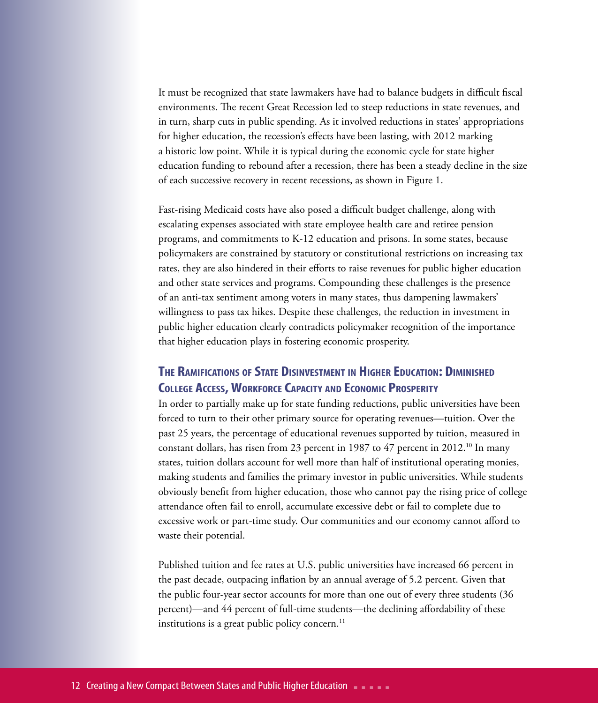It must be recognized that state lawmakers have had to balance budgets in difficult fiscal environments. The recent Great Recession led to steep reductions in state revenues, and in turn, sharp cuts in public spending. As it involved reductions in states' appropriations for higher education, the recession's effects have been lasting, with 2012 marking a historic low point. While it is typical during the economic cycle for state higher education funding to rebound after a recession, there has been a steady decline in the size of each successive recovery in recent recessions, as shown in Figure 1.

Fast-rising Medicaid costs have also posed a difficult budget challenge, along with escalating expenses associated with state employee health care and retiree pension programs, and commitments to K-12 education and prisons. In some states, because policymakers are constrained by statutory or constitutional restrictions on increasing tax rates, they are also hindered in their efforts to raise revenues for public higher education and other state services and programs. Compounding these challenges is the presence of an anti-tax sentiment among voters in many states, thus dampening lawmakers' willingness to pass tax hikes. Despite these challenges, the reduction in investment in public higher education clearly contradicts policymaker recognition of the importance that higher education plays in fostering economic prosperity.

### **The Ramifications ofState Disinvestment in Higher Education: Diminished COLLEGE ACCESS, WORKFORCE CAPACITY AND ECONOMIC PROSPERITY**

In order to partially make up for state funding reductions, public universities have been forced to turn to their other primary source for operating revenues—tuition. Over the past 25 years, the percentage of educational revenues supported by tuition, measured in constant dollars, has risen from 23 percent in 1987 to 47 percent in 2012.<sup>10</sup> In many states, tuition dollars account for well more than half of institutional operating monies, making students and families the primary investor in public universities. While students obviously benefit from higher education, those who cannot pay the rising price of college attendance often fail to enroll, accumulate excessive debt or fail to complete due to excessive work or part-time study. Our communities and our economy cannot afford to waste their potential.

Published tuition and fee rates at U.S. public universities have increased 66 percent in the past decade, outpacing inflation by an annual average of 5.2 percent. Given that the public four-year sector accounts for more than one out of every three students (36 percent)—and 44 percent of full-time students—the declining affordability of these institutions is a great public policy concern. $^{11}$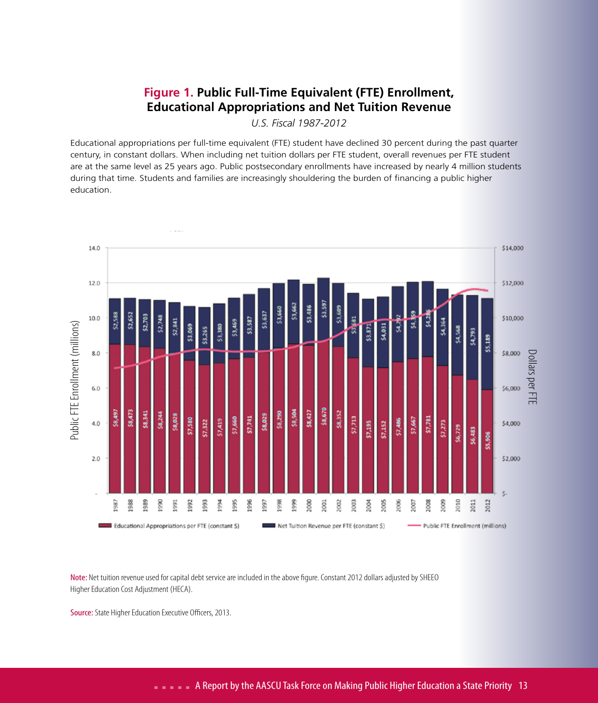### **Figure 1. Public Full-Time Equivalent (FTE) Enrollment, Educational Appropriations and Net Tuition Revenue**

*U.S. Fiscal 1987-2012*

Educational appropriations per full-time equivalent (FTE) student have declined 30 percent during the past quarter century, in constant dollars. When including net tuition dollars per FTE student, overall revenues per FTE student are at the same level as 25 years ago. Public postsecondary enrollments have increased by nearly 4 million students during that time. Students and families are increasingly shouldering the burden of financing a public higher education.



Note: Net tuition revenue used for capital debt service are included in the above figure. Constant 2012 dollars adjusted by SHEEO Higher Education Cost Adjustment (HECA).

Source: State Higher Education Executive Officers, 2013.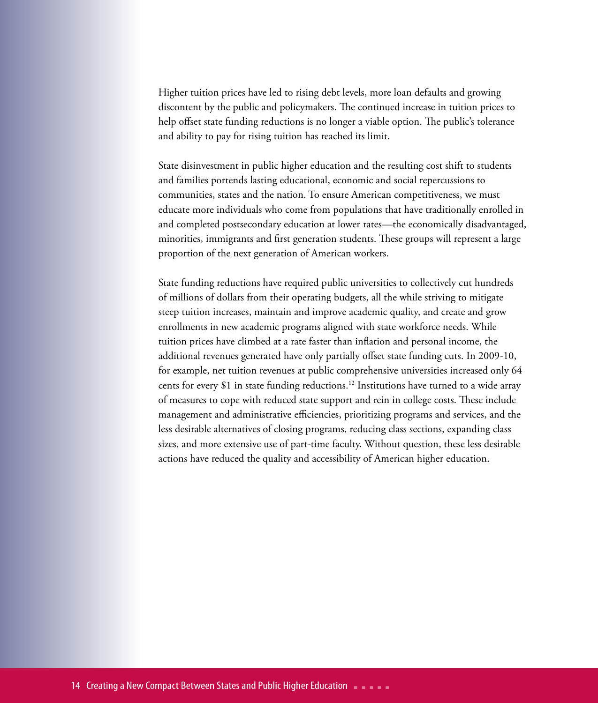Higher tuition prices have led to rising debt levels, more loan defaults and growing discontent by the public and policymakers. The continued increase in tuition prices to help offset state funding reductions is no longer a viable option. The public's tolerance and ability to pay for rising tuition has reached its limit.

State disinvestment in public higher education and the resulting cost shift to students and families portends lasting educational, economic and social repercussions to communities, states and the nation. To ensure American competitiveness, we must educate more individuals who come from populations that have traditionally enrolled in and completed postsecondary education at lower rates—the economically disadvantaged, minorities, immigrants and first generation students. These groups will represent a large proportion of the next generation of American workers.

State funding reductions have required public universities to collectively cut hundreds of millions of dollars from their operating budgets, all the while striving to mitigate steep tuition increases, maintain and improve academic quality, and create and grow enrollments in new academic programs aligned with state workforce needs. While tuition prices have climbed at a rate faster than inflation and personal income, the additional revenues generated have only partially offset state funding cuts. In 2009-10, for example, net tuition revenues at public comprehensive universities increased only 64 cents for every \$1 in state funding reductions.12 Institutions have turned to a wide array of measures to cope with reduced state support and rein in college costs. These include management and administrative efficiencies, prioritizing programs and services, and the less desirable alternatives of closing programs, reducing class sections, expanding class sizes, and more extensive use of part-time faculty. Without question, these less desirable actions have reduced the quality and accessibility of American higher education.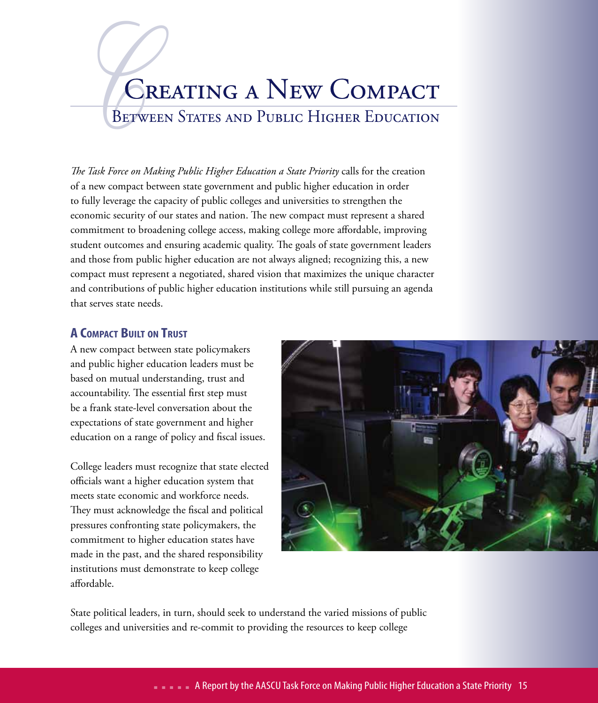# BETWEE Creating a New Compact

BETWEEN STATES AND PUBLIC HIGHER EDUCATION

*The Task Force on Making Public Higher Education a State Priority* calls for the creation of a new compact between state government and public higher education in order to fully leverage the capacity of public colleges and universities to strengthen the economic security of our states and nation. The new compact must represent a shared commitment to broadening college access, making college more affordable, improving student outcomes and ensuring academic quality. The goals of state government leaders and those from public higher education are not always aligned; recognizing this, a new compact must represent a negotiated, shared vision that maximizes the unique character and contributions of public higher education institutions while still pursuing an agenda that serves state needs.

### **A Compact Built on Trust**

A new compact between state policymakers and public higher education leaders must be based on mutual understanding, trust and accountability. The essential first step must be a frank state-level conversation about the expectations of state government and higher education on a range of policy and fiscal issues.

College leaders must recognize that state elected officials want a higher education system that meets state economic and workforce needs. They must acknowledge the fiscal and political pressures confronting state policymakers, the commitment to higher education states have made in the past, and the shared responsibility institutions must demonstrate to keep college affordable.



State political leaders, in turn, should seek to understand the varied missions of public colleges and universities and re-commit to providing the resources to keep college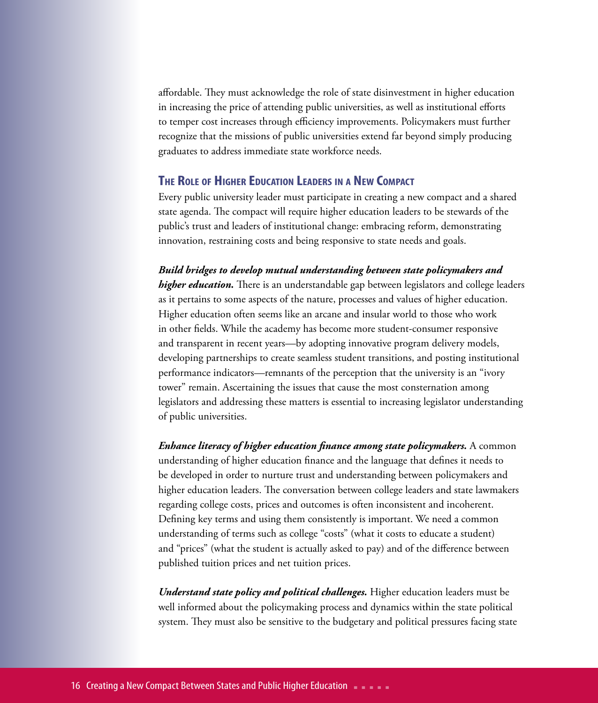affordable. They must acknowledge the role of state disinvestment in higher education in increasing the price of attending public universities, as well as institutional efforts to temper cost increases through efficiency improvements. Policymakers must further recognize that the missions of public universities extend far beyond simply producing graduates to address immediate state workforce needs.

### **The Role of Higher Education Leaders in <sup>a</sup> New Compact**

Every public university leader must participate in creating a new compact and a shared state agenda. The compact will require higher education leaders to be stewards of the public's trust and leaders of institutional change: embracing reform, demonstrating innovation, restraining costs and being responsive to state needs and goals.

*Build bridges to develop mutual understanding between state policymakers and higher education.* There is an understandable gap between legislators and college leaders as it pertains to some aspects of the nature, processes and values of higher education. Higher education often seems like an arcane and insular world to those who work in other fields. While the academy has become more student-consumer responsive and transparent in recent years—by adopting innovative program delivery models, developing partnerships to create seamless student transitions, and posting institutional performance indicators—remnants of the perception that the university is an "ivory tower" remain. Ascertaining the issues that cause the most consternation among legislators and addressing these matters is essential to increasing legislator understanding of public universities.

*Enhance literacy of higher education finance among state policymakers.* A common understanding of higher education finance and the language that defines it needs to be developed in order to nurture trust and understanding between policymakers and higher education leaders. The conversation between college leaders and state lawmakers regarding college costs, prices and outcomes is often inconsistent and incoherent. Defining key terms and using them consistently is important. We need a common understanding of terms such as college "costs" (what it costs to educate a student) and "prices" (what the student is actually asked to pay) and of the difference between published tuition prices and net tuition prices.

*Understand state policy and political challenges.* Higher education leaders must be well informed about the policymaking process and dynamics within the state political system. They must also be sensitive to the budgetary and political pressures facing state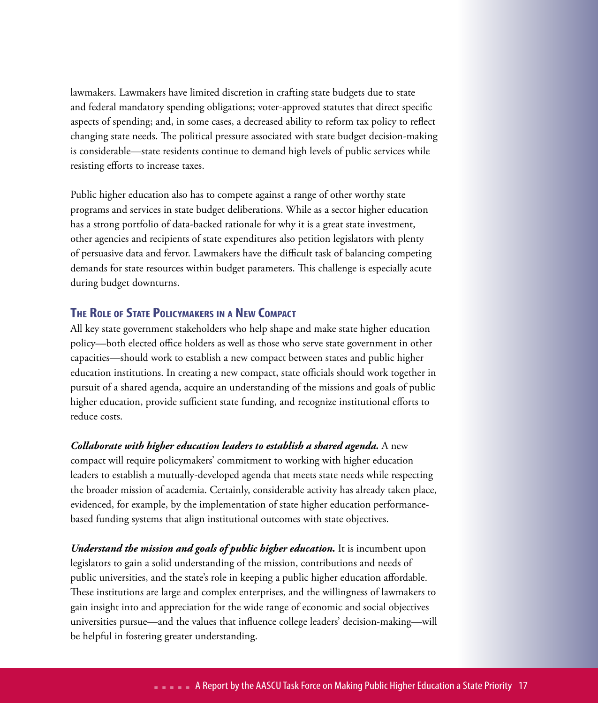lawmakers. Lawmakers have limited discretion in crafting state budgets due to state and federal mandatory spending obligations; voter-approved statutes that direct specific aspects of spending; and, in some cases, a decreased ability to reform tax policy to reflect changing state needs. The political pressure associated with state budget decision-making is considerable—state residents continue to demand high levels of public services while resisting efforts to increase taxes.

Public higher education also has to compete against a range of other worthy state programs and services in state budget deliberations. While as a sector higher education has a strong portfolio of data-backed rationale for why it is a great state investment, other agencies and recipients of state expenditures also petition legislators with plenty of persuasive data and fervor. Lawmakers have the difficult task of balancing competing demands for state resources within budget parameters. This challenge is especially acute during budget downturns.

### **The Role ofState Policymakers in a New Compact**

All key state government stakeholders who help shape and make state higher education policy—both elected office holders as well as those who serve state government in other capacities—should work to establish a new compact between states and public higher education institutions. In creating a new compact, state officials should work together in pursuit of a shared agenda, acquire an understanding of the missions and goals of public higher education, provide sufficient state funding, and recognize institutional efforts to reduce costs.

### *Collaborate with higher education leaders to establish a shared agenda.* A new compact will require policymakers' commitment to working with higher education leaders to establish a mutually-developed agenda that meets state needs while respecting the broader mission of academia. Certainly, considerable activity has already taken place, evidenced, for example, by the implementation of state higher education performance-

based funding systems that align institutional outcomes with state objectives.

*Understand the mission and goals of public higher education.* It is incumbent upon legislators to gain a solid understanding of the mission, contributions and needs of public universities, and the state's role in keeping a public higher education affordable. These institutions are large and complex enterprises, and the willingness of lawmakers to gain insight into and appreciation for the wide range of economic and social objectives universities pursue—and the values that influence college leaders' decision-making—will be helpful in fostering greater understanding.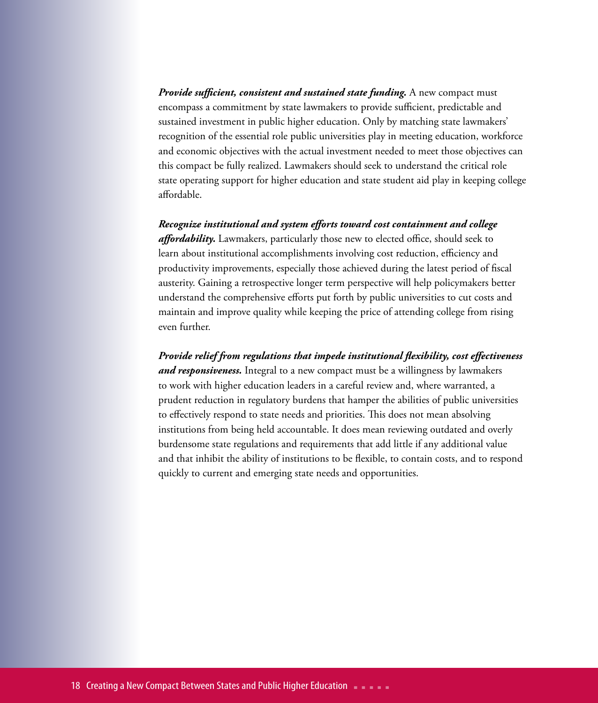*Provide sufficient, consistent and sustained state funding.* A new compact must encompass a commitment by state lawmakers to provide sufficient, predictable and sustained investment in public higher education. Only by matching state lawmakers' recognition of the essential role public universities play in meeting education, workforce and economic objectives with the actual investment needed to meet those objectives can this compact be fully realized. Lawmakers should seek to understand the critical role state operating support for higher education and state student aid play in keeping college affordable.

### *Recognize institutional and system efforts toward cost containment and college*

*affordability.* Lawmakers, particularly those new to elected office, should seek to learn about institutional accomplishments involving cost reduction, efficiency and productivity improvements, especially those achieved during the latest period of fiscal austerity. Gaining a retrospective longer term perspective will help policymakers better understand the comprehensive efforts put forth by public universities to cut costs and maintain and improve quality while keeping the price of attending college from rising even further.

*Provide relief from regulations that impede institutional flexibility, cost effectiveness and responsiveness.* Integral to a new compact must be a willingness by lawmakers to work with higher education leaders in a careful review and, where warranted, a prudent reduction in regulatory burdens that hamper the abilities of public universities to effectively respond to state needs and priorities. This does not mean absolving institutions from being held accountable. It does mean reviewing outdated and overly burdensome state regulations and requirements that add little if any additional value and that inhibit the ability of institutions to be flexible, to contain costs, and to respond quickly to current and emerging state needs and opportunities.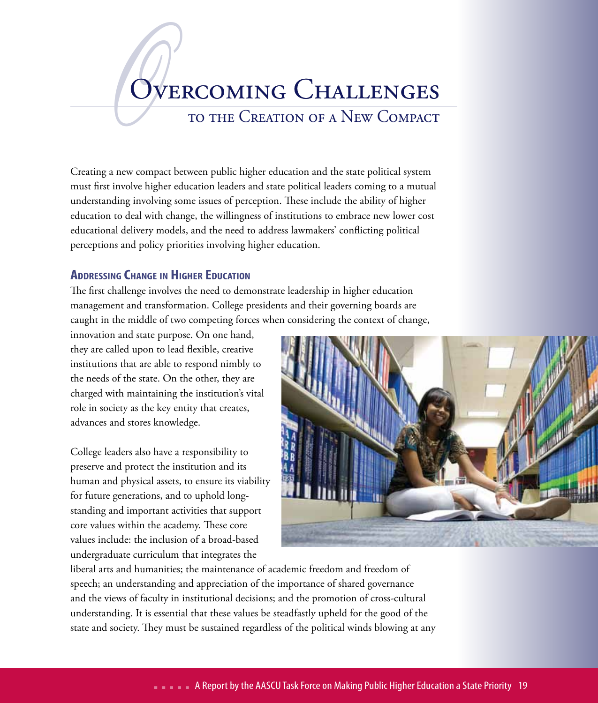# OVE Overcoming Challenges

to the Creation of a New Compact

Creating a new compact between public higher education and the state political system must first involve higher education leaders and state political leaders coming to a mutual understanding involving some issues of perception. These include the ability of higher education to deal with change, the willingness of institutions to embrace new lower cost educational delivery models, and the need to address lawmakers' conflicting political perceptions and policy priorities involving higher education.

### **Addressing Change in Higher Education**

The first challenge involves the need to demonstrate leadership in higher education management and transformation. College presidents and their governing boards are caught in the middle of two competing forces when considering the context of change,

innovation and state purpose. On one hand, they are called upon to lead flexible, creative institutions that are able to respond nimbly to the needs of the state. On the other, they are charged with maintaining the institution's vital role in society as the key entity that creates, advances and stores knowledge.

College leaders also have a responsibility to preserve and protect the institution and its human and physical assets, to ensure its viability for future generations, and to uphold longstanding and important activities that support core values within the academy. These core values include: the inclusion of a broad-based undergraduate curriculum that integrates the



liberal arts and humanities; the maintenance of academic freedom and freedom of speech; an understanding and appreciation of the importance of shared governance and the views of faculty in institutional decisions; and the promotion of cross-cultural understanding. It is essential that these values be steadfastly upheld for the good of the state and society. They must be sustained regardless of the political winds blowing at any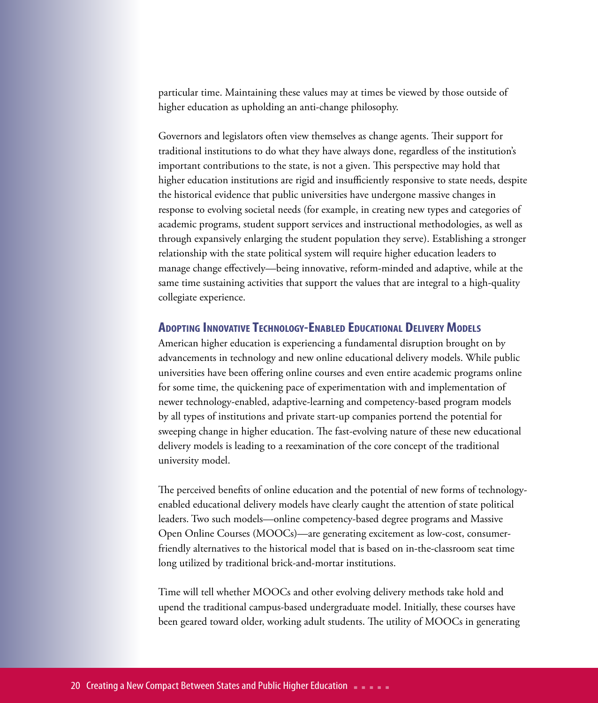particular time. Maintaining these values may at times be viewed by those outside of higher education as upholding an anti-change philosophy.

Governors and legislators often view themselves as change agents. Their support for traditional institutions to do what they have always done, regardless of the institution's important contributions to the state, is not a given. This perspective may hold that higher education institutions are rigid and insufficiently responsive to state needs, despite the historical evidence that public universities have undergone massive changes in response to evolving societal needs (for example, in creating new types and categories of academic programs, student support services and instructional methodologies, as well as through expansively enlarging the student population they serve). Establishing a stronger relationship with the state political system will require higher education leaders to manage change effectively—being innovative, reform-minded and adaptive, while at the same time sustaining activities that support the values that are integral to a high-quality collegiate experience.

### **Adopting Innovative Technology-Enabled Educational DeliveryModels**

American higher education is experiencing a fundamental disruption brought on by advancements in technology and new online educational delivery models. While public universities have been offering online courses and even entire academic programs online for some time, the quickening pace of experimentation with and implementation of newer technology-enabled, adaptive-learning and competency-based program models by all types of institutions and private start-up companies portend the potential for sweeping change in higher education. The fast-evolving nature of these new educational delivery models is leading to a reexamination of the core concept of the traditional university model.

The perceived benefits of online education and the potential of new forms of technologyenabled educational delivery models have clearly caught the attention of state political leaders. Two such models—online competency-based degree programs and Massive Open Online Courses (MOOCs)—are generating excitement as low-cost, consumerfriendly alternatives to the historical model that is based on in-the-classroom seat time long utilized by traditional brick-and-mortar institutions.

Time will tell whether MOOCs and other evolving delivery methods take hold and upend the traditional campus-based undergraduate model. Initially, these courses have been geared toward older, working adult students. The utility of MOOCs in generating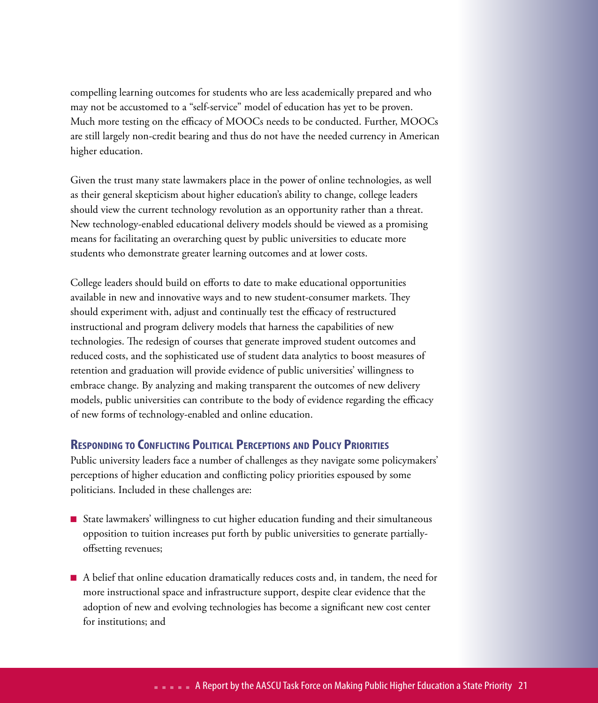compelling learning outcomes for students who are less academically prepared and who may not be accustomed to a "self-service" model of education has yet to be proven. Much more testing on the efficacy of MOOCs needs to be conducted. Further, MOOCs are still largely non-credit bearing and thus do not have the needed currency in American higher education.

Given the trust many state lawmakers place in the power of online technologies, as well as their general skepticism about higher education's ability to change, college leaders should view the current technology revolution as an opportunity rather than a threat. New technology-enabled educational delivery models should be viewed as a promising means for facilitating an overarching quest by public universities to educate more students who demonstrate greater learning outcomes and at lower costs.

College leaders should build on efforts to date to make educational opportunities available in new and innovative ways and to new student-consumer markets. They should experiment with, adjust and continually test the efficacy of restructured instructional and program delivery models that harness the capabilities of new technologies. The redesign of courses that generate improved student outcomes and reduced costs, and the sophisticated use of student data analytics to boost measures of retention and graduation will provide evidence of public universities' willingness to embrace change. By analyzing and making transparent the outcomes of new delivery models, public universities can contribute to the body of evidence regarding the efficacy of new forms of technology-enabled and online education.

### **Responding to Conflicting Political Perceptions and Policy Priorities**

Public university leaders face a number of challenges as they navigate some policymakers' perceptions of higher education and conflicting policy priorities espoused by some politicians. Included in these challenges are:

- State lawmakers' willingness to cut higher education funding and their simultaneous opposition to tuition increases put forth by public universities to generate partiallyoffsetting revenues;
- n A belief that online education dramatically reduces costs and, in tandem, the need for more instructional space and infrastructure support, despite clear evidence that the adoption of new and evolving technologies has become a significant new cost center for institutions; and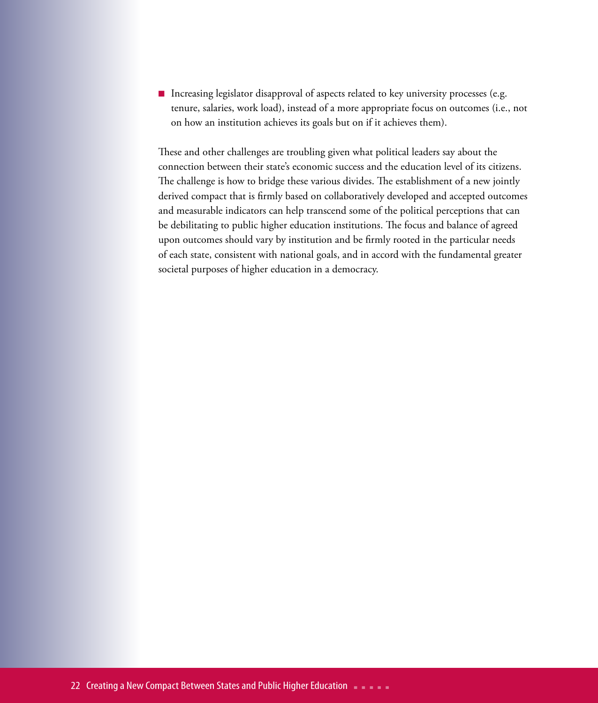■ Increasing legislator disapproval of aspects related to key university processes (e.g. tenure, salaries, work load), instead of a more appropriate focus on outcomes (i.e., not on how an institution achieves its goals but on if it achieves them).

These and other challenges are troubling given what political leaders say about the connection between their state's economic success and the education level of its citizens. The challenge is how to bridge these various divides. The establishment of a new jointly derived compact that is firmly based on collaboratively developed and accepted outcomes and measurable indicators can help transcend some of the political perceptions that can be debilitating to public higher education institutions. The focus and balance of agreed upon outcomes should vary by institution and be firmly rooted in the particular needs of each state, consistent with national goals, and in accord with the fundamental greater societal purposes of higher education in a democracy.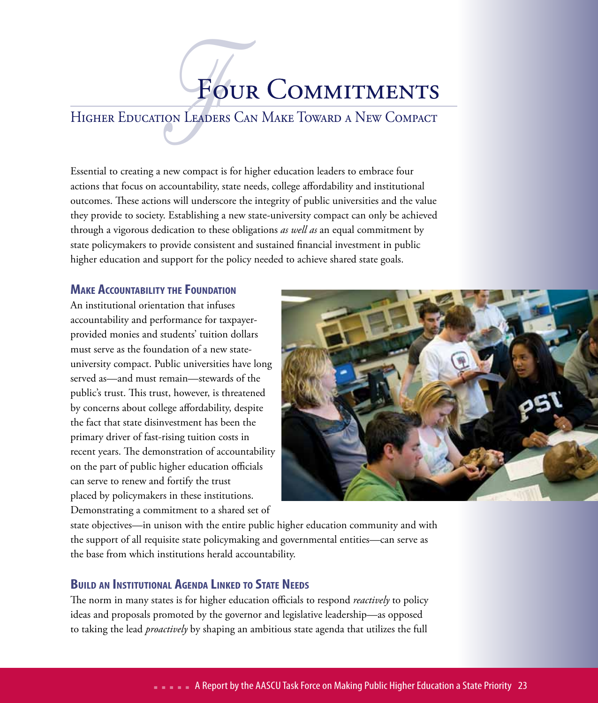# FOUR COMMITMENTS

### Higher Education Leaders Can Make Toward a New Compact

Essential to creating a new compact is for higher education leaders to embrace four actions that focus on accountability, state needs, college affordability and institutional outcomes. These actions will underscore the integrity of public universities and the value they provide to society. Establishing a new state-university compact can only be achieved through a vigorous dedication to these obligations *as well as* an equal commitment by state policymakers to provide consistent and sustained financial investment in public higher education and support for the policy needed to achieve shared state goals.

### **Make Accountability the Foundation**

An institutional orientation that infuses accountability and performance for taxpayerprovided monies and students' tuition dollars must serve as the foundation of a new stateuniversity compact. Public universities have long served as—and must remain—stewards of the public's trust. This trust, however, is threatened by concerns about college affordability, despite the fact that state disinvestment has been the primary driver of fast-rising tuition costs in recent years. The demonstration of accountability on the part of public higher education officials can serve to renew and fortify the trust placed by policymakers in these institutions. Demonstrating a commitment to a shared set of



state objectives—in unison with the entire public higher education community and with the support of all requisite state policymaking and governmental entities—can serve as the base from which institutions herald accountability.

### **Build an Institutional Agenda Linked to State Needs**

The norm in many states is for higher education officials to respond *reactively* to policy ideas and proposals promoted by the governor and legislative leadership—as opposed to taking the lead *proactively* by shaping an ambitious state agenda that utilizes the full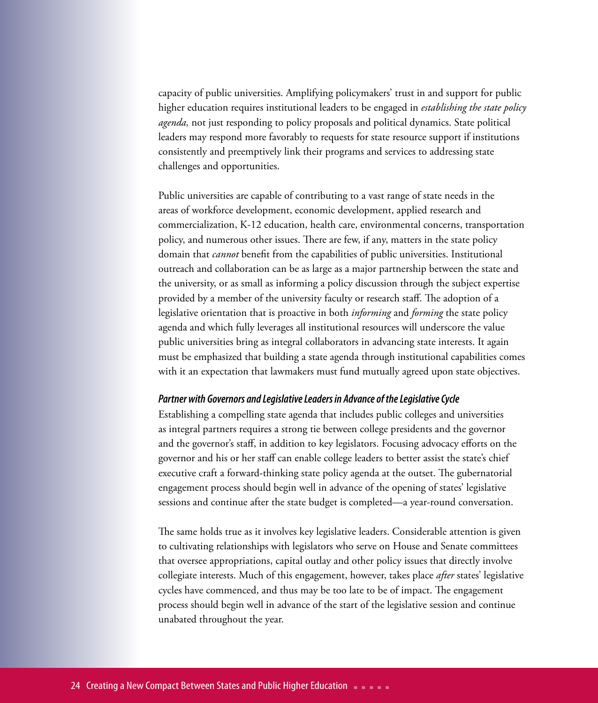capacity of public universities. Amplifying policymakers' trust in and support for public higher education requires institutional leaders to be engaged in *establishing the state policy agenda,* not just responding to policy proposals and political dynamics. State political leaders may respond more favorably to requests for state resource support if institutions consistently and preemptively link their programs and services to addressing state challenges and opportunities.

Public universities are capable of contributing to a vast range of state needs in the areas of workforce development, economic development, applied research and commercialization, K-12 education, health care, environmental concerns, transportation policy, and numerous other issues. There are few, if any, matters in the state policy domain that *cannot* benefit from the capabilities of public universities. Institutional outreach and collaboration can be as large as a major partnership between the state and the university, or as small as informing a policy discussion through the subject expertise provided by a member of the university faculty or research staff. The adoption of a legislative orientation that is proactive in both *informing* and *forming* the state policy agenda and which fully leverages all institutional resources will underscore the value public universities bring as integral collaborators in advancing state interests. It again must be emphasized that building a state agenda through institutional capabilities comes with it an expectation that lawmakers must fund mutually agreed upon state objectives.

### *Partner with Governors and Legislative Leaders in Advance of the Legislative Cycle*

Establishing a compelling state agenda that includes public colleges and universities as integral partners requires a strong tie between college presidents and the governor and the governor's staff, in addition to key legislators. Focusing advocacy efforts on the governor and his or her staff can enable college leaders to better assist the state's chief executive craft a forward-thinking state policy agenda at the outset. The gubernatorial engagement process should begin well in advance of the opening of states' legislative sessions and continue after the state budget is completed—a year-round conversation.

The same holds true as it involves key legislative leaders. Considerable attention is given to cultivating relationships with legislators who serve on House and Senate committees that oversee appropriations, capital outlay and other policy issues that directly involve collegiate interests. Much of this engagement, however, takes place *after* states' legislative cycles have commenced, and thus may be too late to be of impact. The engagement process should begin well in advance of the start of the legislative session and continue unabated throughout the year.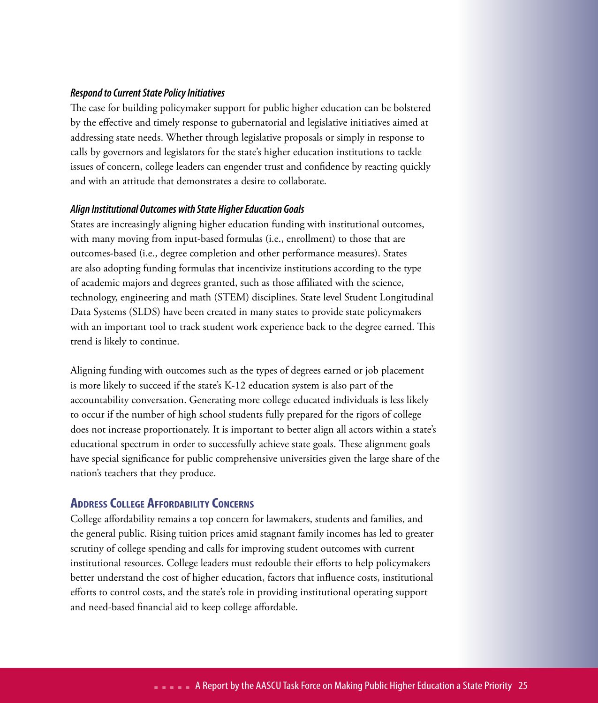### *Respond to Current State Policy Initiatives*

The case for building policymaker support for public higher education can be bolstered by the effective and timely response to gubernatorial and legislative initiatives aimed at addressing state needs. Whether through legislative proposals or simply in response to calls by governors and legislators for the state's higher education institutions to tackle issues of concern, college leaders can engender trust and confidence by reacting quickly and with an attitude that demonstrates a desire to collaborate.

### *Align Institutional Outcomes with State Higher Education Goals*

States are increasingly aligning higher education funding with institutional outcomes, with many moving from input-based formulas (i.e., enrollment) to those that are outcomes-based (i.e., degree completion and other performance measures). States are also adopting funding formulas that incentivize institutions according to the type of academic majors and degrees granted, such as those affiliated with the science, technology, engineering and math (STEM) disciplines. State level Student Longitudinal Data Systems (SLDS) have been created in many states to provide state policymakers with an important tool to track student work experience back to the degree earned. This trend is likely to continue.

Aligning funding with outcomes such as the types of degrees earned or job placement is more likely to succeed if the state's K-12 education system is also part of the accountability conversation. Generating more college educated individuals is less likely to occur if the number of high school students fully prepared for the rigors of college does not increase proportionately. It is important to better align all actors within a state's educational spectrum in order to successfully achieve state goals. These alignment goals have special significance for public comprehensive universities given the large share of the nation's teachers that they produce.

### **AddressCollege Affordability Concerns**

College affordability remains a top concern for lawmakers, students and families, and the general public. Rising tuition prices amid stagnant family incomes has led to greater scrutiny of college spending and calls for improving student outcomes with current institutional resources. College leaders must redouble their efforts to help policymakers better understand the cost of higher education, factors that influence costs, institutional efforts to control costs, and the state's role in providing institutional operating support and need-based financial aid to keep college affordable.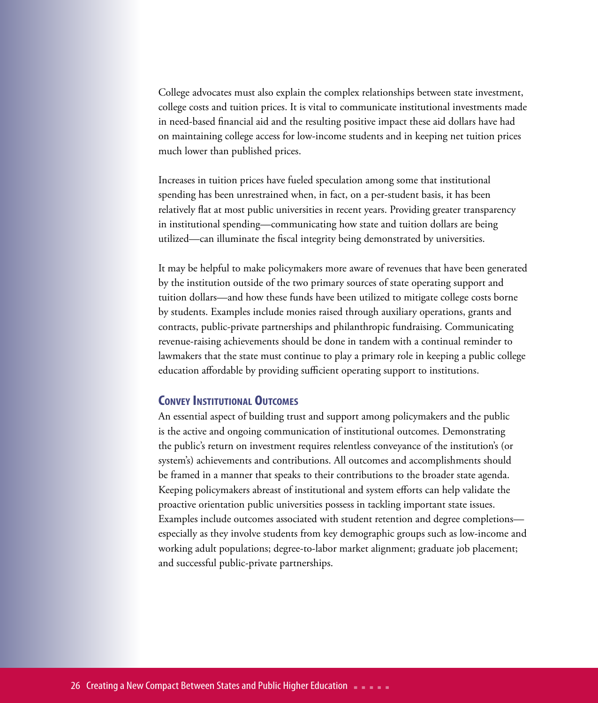College advocates must also explain the complex relationships between state investment, college costs and tuition prices. It is vital to communicate institutional investments made in need-based financial aid and the resulting positive impact these aid dollars have had on maintaining college access for low-income students and in keeping net tuition prices much lower than published prices.

Increases in tuition prices have fueled speculation among some that institutional spending has been unrestrained when, in fact, on a per-student basis, it has been relatively flat at most public universities in recent years. Providing greater transparency in institutional spending—communicating how state and tuition dollars are being utilized—can illuminate the fiscal integrity being demonstrated by universities.

It may be helpful to make policymakers more aware of revenues that have been generated by the institution outside of the two primary sources of state operating support and tuition dollars—and how these funds have been utilized to mitigate college costs borne by students. Examples include monies raised through auxiliary operations, grants and contracts, public-private partnerships and philanthropic fundraising. Communicating revenue-raising achievements should be done in tandem with a continual reminder to lawmakers that the state must continue to play a primary role in keeping a public college education affordable by providing sufficient operating support to institutions.

### **Convey Institutional Outcomes**

An essential aspect of building trust and support among policymakers and the public is the active and ongoing communication of institutional outcomes. Demonstrating the public's return on investment requires relentless conveyance of the institution's (or system's) achievements and contributions. All outcomes and accomplishments should be framed in a manner that speaks to their contributions to the broader state agenda. Keeping policymakers abreast of institutional and system efforts can help validate the proactive orientation public universities possess in tackling important state issues. Examples include outcomes associated with student retention and degree completions especially as they involve students from key demographic groups such as low-income and working adult populations; degree-to-labor market alignment; graduate job placement; and successful public-private partnerships.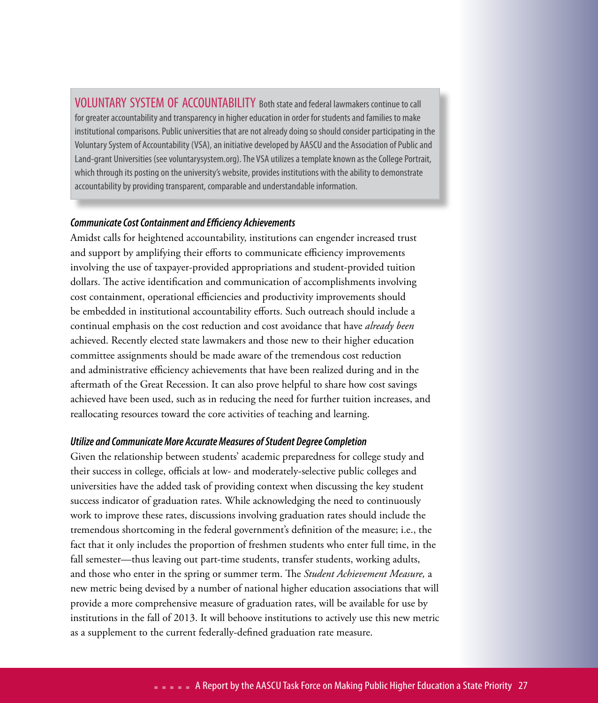VOLUNTARY SYSTEM OF ACCOUNTABILITY Both state and federal lawmakers continue to call for greater accountability and transparency in higher education in order for students and families to make institutional comparisons. Public universities that are not already doing so should consider participating in the Voluntary System of Accountability (VSA), an initiative developed by AASCU and the Association of Public and Land-grant Universities (see voluntarysystem.org). The VSA utilizes a template known as the College Portrait, which through its posting on the university's website, provides institutions with the ability to demonstrate accountability by providing transparent, comparable and understandable information.

### *Communicate Cost Containment and Efficiency Achievements*

Amidst calls for heightened accountability, institutions can engender increased trust and support by amplifying their efforts to communicate efficiency improvements involving the use of taxpayer-provided appropriations and student-provided tuition dollars. The active identification and communication of accomplishments involving cost containment, operational efficiencies and productivity improvements should be embedded in institutional accountability efforts. Such outreach should include a continual emphasis on the cost reduction and cost avoidance that have *already been* achieved. Recently elected state lawmakers and those new to their higher education committee assignments should be made aware of the tremendous cost reduction and administrative efficiency achievements that have been realized during and in the aftermath of the Great Recession. It can also prove helpful to share how cost savings achieved have been used, such as in reducing the need for further tuition increases, and reallocating resources toward the core activities of teaching and learning.

### *Utilize and Communicate More Accurate Measures of Student Degree Completion*

Given the relationship between students' academic preparedness for college study and their success in college, officials at low- and moderately-selective public colleges and universities have the added task of providing context when discussing the key student success indicator of graduation rates. While acknowledging the need to continuously work to improve these rates, discussions involving graduation rates should include the tremendous shortcoming in the federal government's definition of the measure; i.e., the fact that it only includes the proportion of freshmen students who enter full time, in the fall semester—thus leaving out part-time students, transfer students, working adults, and those who enter in the spring or summer term. The *Student Achievement Measure,* a new metric being devised by a number of national higher education associations that will provide a more comprehensive measure of graduation rates, will be available for use by institutions in the fall of 2013. It will behoove institutions to actively use this new metric as a supplement to the current federally-defined graduation rate measure.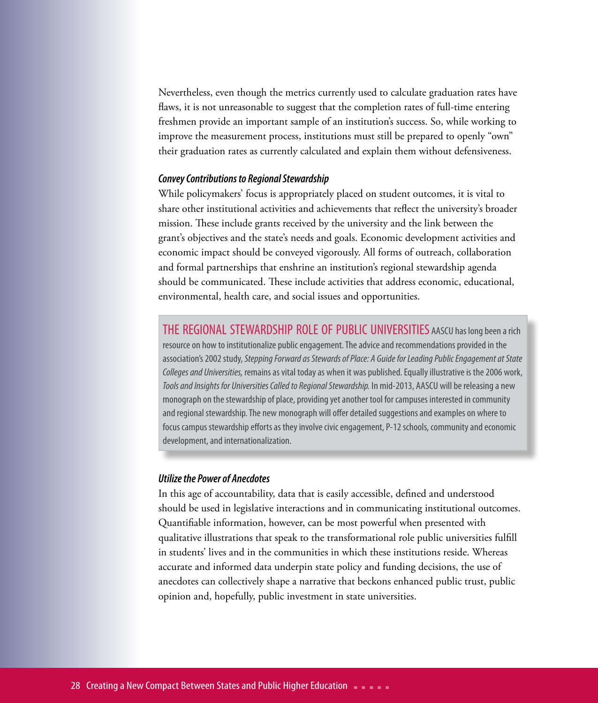Nevertheless, even though the metrics currently used to calculate graduation rates have flaws, it is not unreasonable to suggest that the completion rates of full-time entering freshmen provide an important sample of an institution's success. So, while working to improve the measurement process, institutions must still be prepared to openly "own" their graduation rates as currently calculated and explain them without defensiveness.

### *Convey Contributions to Regional Stewardship*

While policymakers' focus is appropriately placed on student outcomes, it is vital to share other institutional activities and achievements that reflect the university's broader mission. These include grants received by the university and the link between the grant's objectives and the state's needs and goals. Economic development activities and economic impact should be conveyed vigorously. All forms of outreach, collaboration and formal partnerships that enshrine an institution's regional stewardship agenda should be communicated. These include activities that address economic, educational, environmental, health care, and social issues and opportunities.

THE REGIONAL STEWARDSHIP ROLE OF PUBLIC UNIVERSITIES AASCU has long been a rich resource on how to institutionalize public engagement. The advice and recommendations provided in the association's 2002 study, *Stepping Forward as Stewards of Place: A Guide for Leading Public Engagement at State Colleges and Universities,* remains as vital today as when it was published. Equally illustrative is the 2006 work, *Tools and Insights for Universities Called to Regional Stewardship.* In mid-2013, AASCU will be releasing a new monograph on the stewardship of place, providing yet another tool for campuses interested in community and regional stewardship. The new monograph will offer detailed suggestions and examples on where to focus campus stewardship efforts as they involve civic engagement, P-12 schools, community and economic development, and internationalization.

### *Utilize the Power of Anecdotes*

In this age of accountability, data that is easily accessible, defined and understood should be used in legislative interactions and in communicating institutional outcomes. Quantifiable information, however, can be most powerful when presented with qualitative illustrations that speak to the transformational role public universities fulfill in students' lives and in the communities in which these institutions reside. Whereas accurate and informed data underpin state policy and funding decisions, the use of anecdotes can collectively shape a narrative that beckons enhanced public trust, public opinion and, hopefully, public investment in state universities.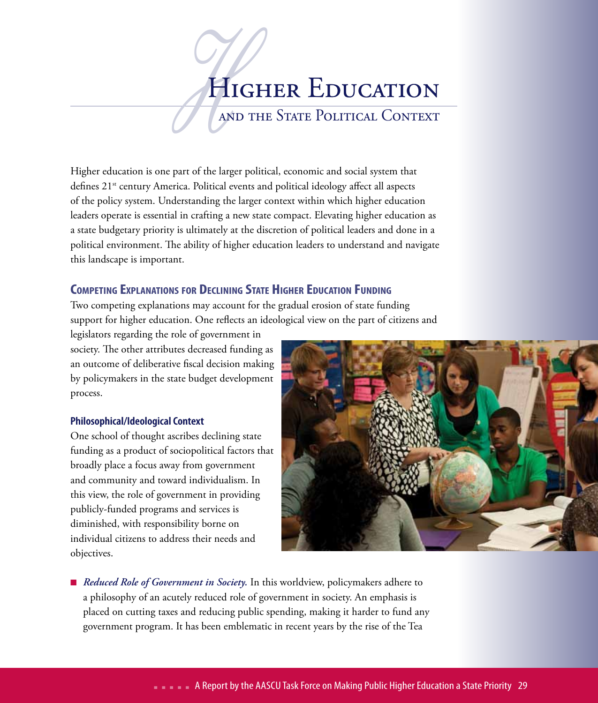# HICAND HIGHER EDUCATION

and the State Political Context

Higher education is one part of the larger political, economic and social system that defines 21<sup>st</sup> century America. Political events and political ideology affect all aspects of the policy system. Understanding the larger context within which higher education leaders operate is essential in crafting a new state compact. Elevating higher education as a state budgetary priority is ultimately at the discretion of political leaders and done in a political environment. The ability of higher education leaders to understand and navigate this landscape is important.

### **Competing Explanations for Declining State Higher Education Funding**

Two competing explanations may account for the gradual erosion of state funding support for higher education. One reflects an ideological view on the part of citizens and

legislators regarding the role of government in society. The other attributes decreased funding as an outcome of deliberative fiscal decision making by policymakers in the state budget development process.

### **Philosophical/Ideological Context**

One school of thought ascribes declining state funding as a product of sociopolitical factors that broadly place a focus away from government and community and toward individualism. In this view, the role of government in providing publicly-funded programs and services is diminished, with responsibility borne on individual citizens to address their needs and objectives.



■ *Reduced Role of Government in Society*. In this worldview, policymakers adhere to a philosophy of an acutely reduced role of government in society. An emphasis is placed on cutting taxes and reducing public spending, making it harder to fund any government program. It has been emblematic in recent years by the rise of the Tea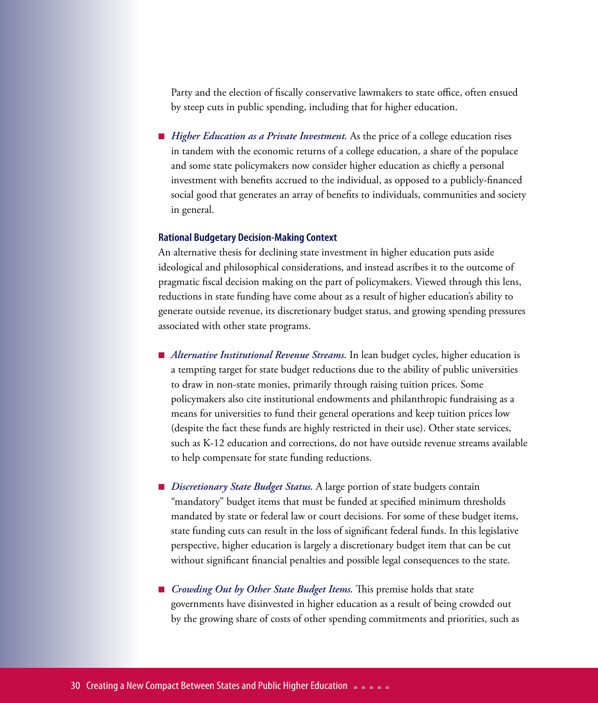Party and the election of fiscally conservative lawmakers to state office, often ensued by steep cuts in public spending, including that for higher education.

■ *Higher Education as a Private Investment*. As the price of a college education rises in tandem with the economic returns of a college education, a share of the populace and some state policymakers now consider higher education as chiefly a personal investment with benefits accrued to the individual, as opposed to a publicly-financed social good that generates an array of benefits to individuals, communities and society in general.

#### **Rational Budgetary Decision-Making Context**

An alternative thesis for declining state investment in higher education puts aside ideological and philosophical considerations, and instead ascribes it to the outcome of pragmatic fiscal decision making on the part of policymakers. Viewed through this lens, reductions in state funding have come about as a result of higher education's ability to generate outside revenue, its discretionary budget status, and growing spending pressures associated with other state programs.

- *Alternative Institutional Revenue Streams*. In lean budget cycles, higher education is a tempting target for state budget reductions due to the ability of public universities to draw in non-state monies, primarily through raising tuition prices. Some policymakers also cite institutional endowments and philanthropic fundraising as a means for universities to fund their general operations and keep tuition prices low (despite the fact these funds are highly restricted in their use). Other state services, such as K-12 education and corrections, do not have outside revenue streams available to help compensate for state funding reductions.
- *Discretionary State Budget Status*. A large portion of state budgets contain "mandatory" budget items that must be funded at specified minimum thresholds mandated by state or federal law or court decisions. For some of these budget items, state funding cuts can result in the loss of significant federal funds. In this legislative perspective, higher education is largely a discretionary budget item that can be cut without significant financial penalties and possible legal consequences to the state.
- *Crowding Out by Other State Budget Items*. This premise holds that state governments have disinvested in higher education as a result of being crowded out by the growing share of costs of other spending commitments and priorities, such as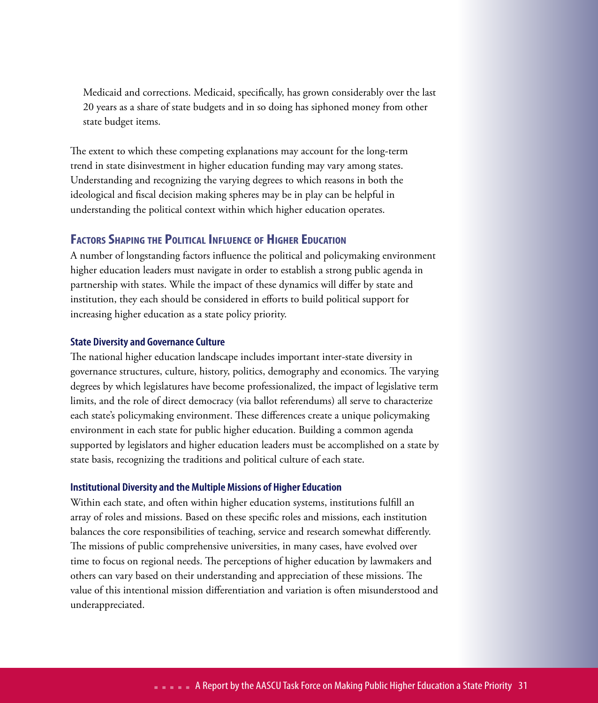Medicaid and corrections. Medicaid, specifically, has grown considerably over the last 20 years as a share of state budgets and in so doing has siphoned money from other state budget items.

The extent to which these competing explanations may account for the long-term trend in state disinvestment in higher education funding may vary among states. Understanding and recognizing the varying degrees to which reasons in both the ideological and fiscal decision making spheres may be in play can be helpful in understanding the political context within which higher education operates.

### **Factors Shaping the Political Influence of Higher Education**

A number of longstanding factors influence the political and policymaking environment higher education leaders must navigate in order to establish a strong public agenda in partnership with states. While the impact of these dynamics will differ by state and institution, they each should be considered in efforts to build political support for increasing higher education as a state policy priority.

### **State Diversity and Governance Culture**

The national higher education landscape includes important inter-state diversity in governance structures, culture, history, politics, demography and economics. The varying degrees by which legislatures have become professionalized, the impact of legislative term limits, and the role of direct democracy (via ballot referendums) all serve to characterize each state's policymaking environment. These differences create a unique policymaking environment in each state for public higher education. Building a common agenda supported by legislators and higher education leaders must be accomplished on a state by state basis, recognizing the traditions and political culture of each state.

### **Institutional Diversity and the Multiple Missions of Higher Education**

Within each state, and often within higher education systems, institutions fulfill an array of roles and missions. Based on these specific roles and missions, each institution balances the core responsibilities of teaching, service and research somewhat differently. The missions of public comprehensive universities, in many cases, have evolved over time to focus on regional needs. The perceptions of higher education by lawmakers and others can vary based on their understanding and appreciation of these missions. The value of this intentional mission differentiation and variation is often misunderstood and underappreciated.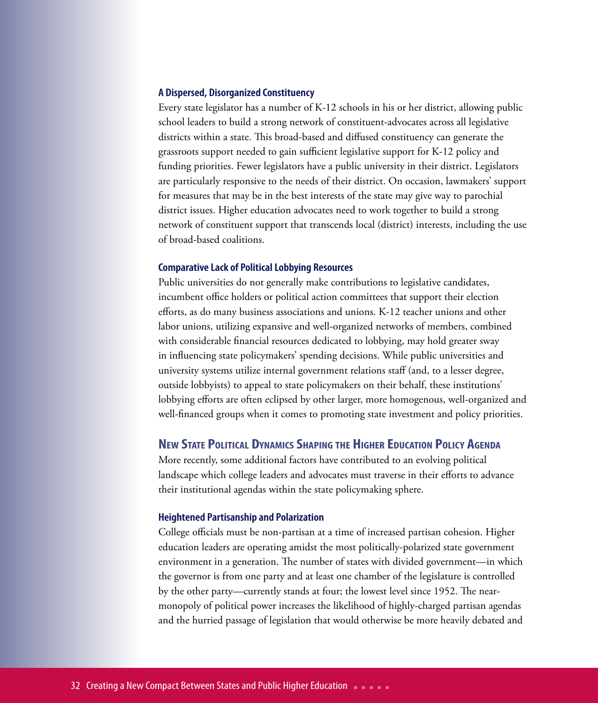#### **A Dispersed, Disorganized Constituency**

Every state legislator has a number of K-12 schools in his or her district, allowing public school leaders to build a strong network of constituent-advocates across all legislative districts within a state. This broad-based and diffused constituency can generate the grassroots support needed to gain sufficient legislative support for K-12 policy and funding priorities. Fewer legislators have a public university in their district. Legislators are particularly responsive to the needs of their district. On occasion, lawmakers' support for measures that may be in the best interests of the state may give way to parochial district issues. Higher education advocates need to work together to build a strong network of constituent support that transcends local (district) interests, including the use of broad-based coalitions.

#### **Comparative Lack of Political Lobbying Resources**

Public universities do not generally make contributions to legislative candidates, incumbent office holders or political action committees that support their election efforts, as do many business associations and unions. K-12 teacher unions and other labor unions, utilizing expansive and well-organized networks of members, combined with considerable financial resources dedicated to lobbying, may hold greater sway in influencing state policymakers' spending decisions. While public universities and university systems utilize internal government relations staff (and, to a lesser degree, outside lobbyists) to appeal to state policymakers on their behalf, these institutions' lobbying efforts are often eclipsed by other larger, more homogenous, well-organized and well-financed groups when it comes to promoting state investment and policy priorities.

### **New State Political Dynamics Shaping the Higher Education Policy Agenda**

More recently, some additional factors have contributed to an evolving political landscape which college leaders and advocates must traverse in their efforts to advance their institutional agendas within the state policymaking sphere.

#### **Heightened Partisanship and Polarization**

College officials must be non-partisan at a time of increased partisan cohesion. Higher education leaders are operating amidst the most politically-polarized state government environment in a generation. The number of states with divided government—in which the governor is from one party and at least one chamber of the legislature is controlled by the other party—currently stands at four; the lowest level since 1952. The nearmonopoly of political power increases the likelihood of highly-charged partisan agendas and the hurried passage of legislation that would otherwise be more heavily debated and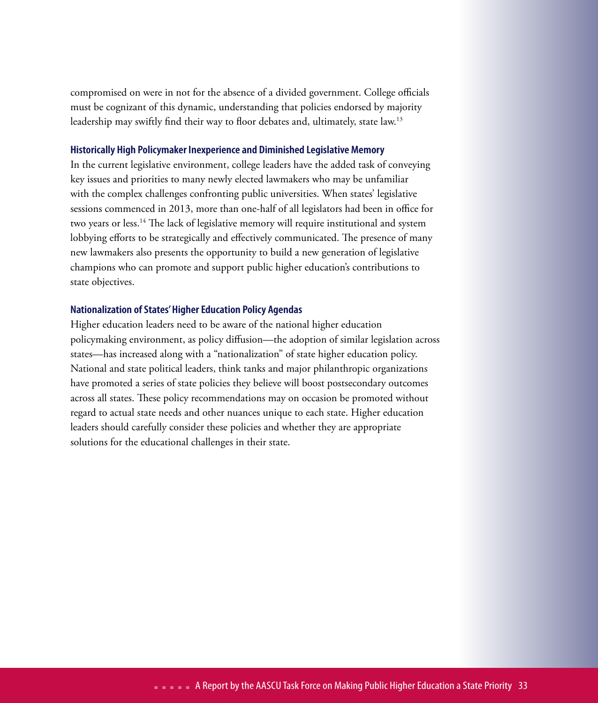compromised on were in not for the absence of a divided government. College officials must be cognizant of this dynamic, understanding that policies endorsed by majority leadership may swiftly find their way to floor debates and, ultimately, state law.<sup>13</sup>

#### **Historically High Policymaker Inexperience and Diminished Legislative Memory**

In the current legislative environment, college leaders have the added task of conveying key issues and priorities to many newly elected lawmakers who may be unfamiliar with the complex challenges confronting public universities. When states' legislative sessions commenced in 2013, more than one-half of all legislators had been in office for two years or less.14 The lack of legislative memory will require institutional and system lobbying efforts to be strategically and effectively communicated. The presence of many new lawmakers also presents the opportunity to build a new generation of legislative champions who can promote and support public higher education's contributions to state objectives.

### **Nationalization of States' Higher Education Policy Agendas**

Higher education leaders need to be aware of the national higher education policymaking environment, as policy diffusion—the adoption of similar legislation across states—has increased along with a "nationalization" of state higher education policy. National and state political leaders, think tanks and major philanthropic organizations have promoted a series of state policies they believe will boost postsecondary outcomes across all states. These policy recommendations may on occasion be promoted without regard to actual state needs and other nuances unique to each state. Higher education leaders should carefully consider these policies and whether they are appropriate solutions for the educational challenges in their state.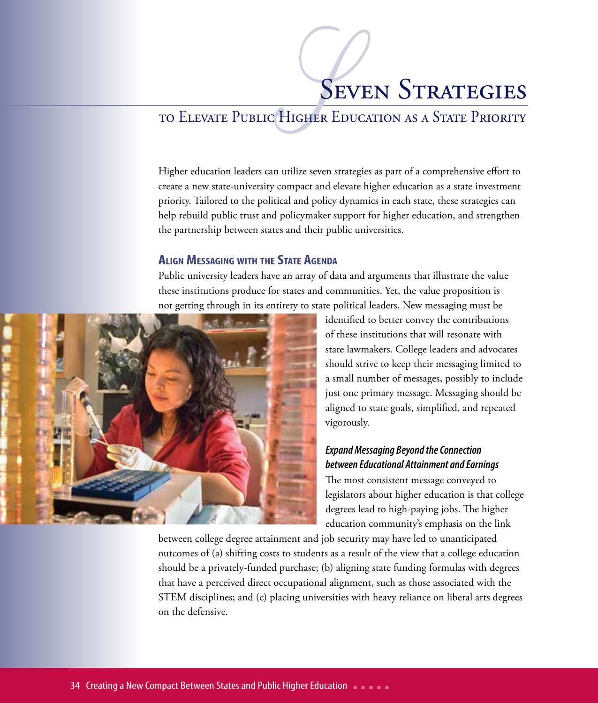# SEN **SEVEN STRATEGIES**

### to Elevate Public Higher Education as a State Priority

Higher education leaders can utilize seven strategies as part of a comprehensive effort to create a new state-university compact and elevate higher education as a state investment priority. Tailored to the political and policy dynamics in each state, these strategies can help rebuild public trust and policymaker support for higher education, and strengthen the partnership between states and their public universities.

### **AlignMessaging with the State Agenda**

Public university leaders have an array of data and arguments that illustrate the value these institutions produce for states and communities. Yet, the value proposition is not getting through in its entirety to state political leaders. New messaging must be



identified to better convey the contributions of these institutions that will resonate with state lawmakers. College leaders and advocates should strive to keep their messaging limited to a small number of messages, possibly to include just one primary message. Messaging should be aligned to state goals, simplified, and repeated vigorously.

### *Expand Messaging Beyond the Connection between Educational Attainment and Earnings*

The most consistent message conveyed to legislators about higher education is that college degrees lead to high-paying jobs. The higher education community's emphasis on the link

between college degree attainment and job security may have led to unanticipated outcomes of (a) shifting costs to students as a result of the view that a college education should be a privately-funded purchase; (b) aligning state funding formulas with degrees that have a perceived direct occupational alignment, such as those associated with the STEM disciplines; and (c) placing universities with heavy reliance on liberal arts degrees on the defensive.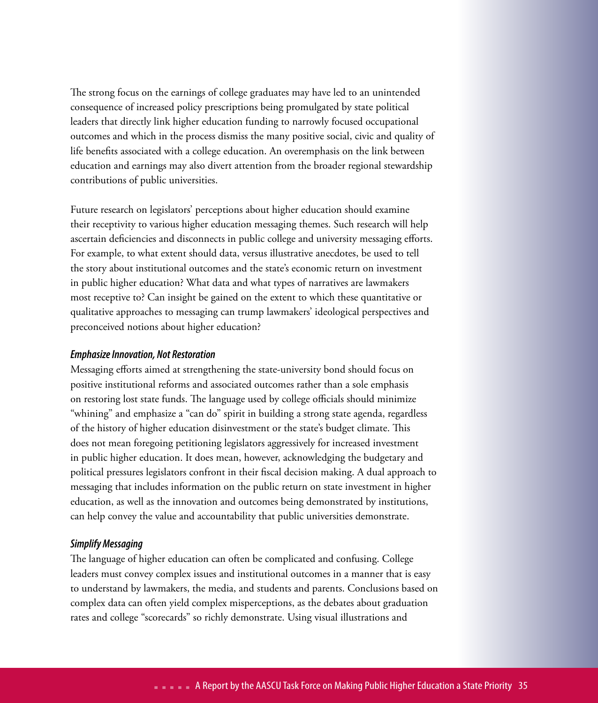The strong focus on the earnings of college graduates may have led to an unintended consequence of increased policy prescriptions being promulgated by state political leaders that directly link higher education funding to narrowly focused occupational outcomes and which in the process dismiss the many positive social, civic and quality of life benefits associated with a college education. An overemphasis on the link between education and earnings may also divert attention from the broader regional stewardship contributions of public universities.

Future research on legislators' perceptions about higher education should examine their receptivity to various higher education messaging themes. Such research will help ascertain deficiencies and disconnects in public college and university messaging efforts. For example, to what extent should data, versus illustrative anecdotes, be used to tell the story about institutional outcomes and the state's economic return on investment in public higher education? What data and what types of narratives are lawmakers most receptive to? Can insight be gained on the extent to which these quantitative or qualitative approaches to messaging can trump lawmakers' ideological perspectives and preconceived notions about higher education?

### *Emphasize Innovation, Not Restoration*

Messaging efforts aimed at strengthening the state-university bond should focus on positive institutional reforms and associated outcomes rather than a sole emphasis on restoring lost state funds. The language used by college officials should minimize "whining" and emphasize a "can do" spirit in building a strong state agenda, regardless of the history of higher education disinvestment or the state's budget climate. This does not mean foregoing petitioning legislators aggressively for increased investment in public higher education. It does mean, however, acknowledging the budgetary and political pressures legislators confront in their fiscal decision making. A dual approach to messaging that includes information on the public return on state investment in higher education, as well as the innovation and outcomes being demonstrated by institutions, can help convey the value and accountability that public universities demonstrate.

### *Simplify Messaging*

The language of higher education can often be complicated and confusing. College leaders must convey complex issues and institutional outcomes in a manner that is easy to understand by lawmakers, the media, and students and parents. Conclusions based on complex data can often yield complex misperceptions, as the debates about graduation rates and college "scorecards" so richly demonstrate. Using visual illustrations and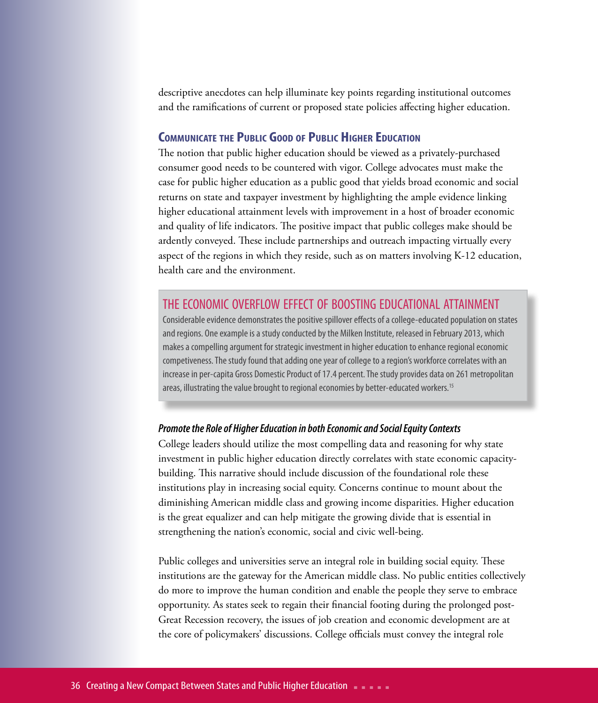descriptive anecdotes can help illuminate key points regarding institutional outcomes and the ramifications of current or proposed state policies affecting higher education.

### **Communicate the Public Good of Public Higher Education**

The notion that public higher education should be viewed as a privately-purchased consumer good needs to be countered with vigor. College advocates must make the case for public higher education as a public good that yields broad economic and social returns on state and taxpayer investment by highlighting the ample evidence linking higher educational attainment levels with improvement in a host of broader economic and quality of life indicators. The positive impact that public colleges make should be ardently conveyed. These include partnerships and outreach impacting virtually every aspect of the regions in which they reside, such as on matters involving K-12 education, health care and the environment.

### the economic overflow effect of boosting educational attainment

Considerable evidence demonstrates the positive spillover effects of a college-educated population on states and regions. One example is a study conducted by the Milken Institute, released in February 2013, which makes a compelling argument for strategic investment in higher education to enhance regional economic competiveness. The study found that adding one year of college to a region's workforce correlates with an increase in per-capita Gross Domestic Product of 17.4 percent. The study provides data on 261 metropolitan areas, illustrating the value brought to regional economies by better-educated workers.<sup>15</sup>

### *Promote the Role of Higher Education in both Economic and Social Equity Contexts*

College leaders should utilize the most compelling data and reasoning for why state investment in public higher education directly correlates with state economic capacitybuilding. This narrative should include discussion of the foundational role these institutions play in increasing social equity. Concerns continue to mount about the diminishing American middle class and growing income disparities. Higher education is the great equalizer and can help mitigate the growing divide that is essential in strengthening the nation's economic, social and civic well-being.

Public colleges and universities serve an integral role in building social equity. These institutions are the gateway for the American middle class. No public entities collectively do more to improve the human condition and enable the people they serve to embrace opportunity. As states seek to regain their financial footing during the prolonged post-Great Recession recovery, the issues of job creation and economic development are at the core of policymakers' discussions. College officials must convey the integral role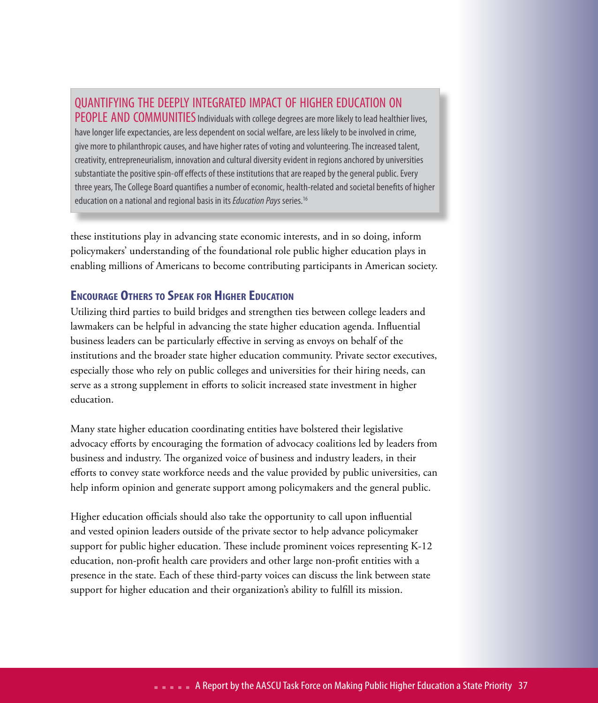### quantifying the deeply integrated impact of higher education on

**PEOPLE AND COMMUNITIES** Individuals with college degrees are more likely to lead healthier lives, have longer life expectancies, are less dependent on social welfare, are less likely to be involved in crime, give more to philanthropic causes, and have higher rates of voting and volunteering. The increased talent, creativity, entrepreneurialism, innovation and cultural diversity evident in regions anchored by universities substantiate the positive spin-off effects of these institutions that are reaped by the general public. Every three years, The College Board quantifies a number of economic, health-related and societal benefits of higher education on a national and regional basis in its *Education Pays* series.16

these institutions play in advancing state economic interests, and in so doing, inform policymakers' understanding of the foundational role public higher education plays in enabling millions of Americans to become contributing participants in American society.

### **Encourage Others to Speak for Higher Education**

Utilizing third parties to build bridges and strengthen ties between college leaders and lawmakers can be helpful in advancing the state higher education agenda. Influential business leaders can be particularly effective in serving as envoys on behalf of the institutions and the broader state higher education community. Private sector executives, especially those who rely on public colleges and universities for their hiring needs, can serve as a strong supplement in efforts to solicit increased state investment in higher education.

Many state higher education coordinating entities have bolstered their legislative advocacy efforts by encouraging the formation of advocacy coalitions led by leaders from business and industry. The organized voice of business and industry leaders, in their efforts to convey state workforce needs and the value provided by public universities, can help inform opinion and generate support among policymakers and the general public.

Higher education officials should also take the opportunity to call upon influential and vested opinion leaders outside of the private sector to help advance policymaker support for public higher education. These include prominent voices representing K-12 education, non-profit health care providers and other large non-profit entities with a presence in the state. Each of these third-party voices can discuss the link between state support for higher education and their organization's ability to fulfill its mission.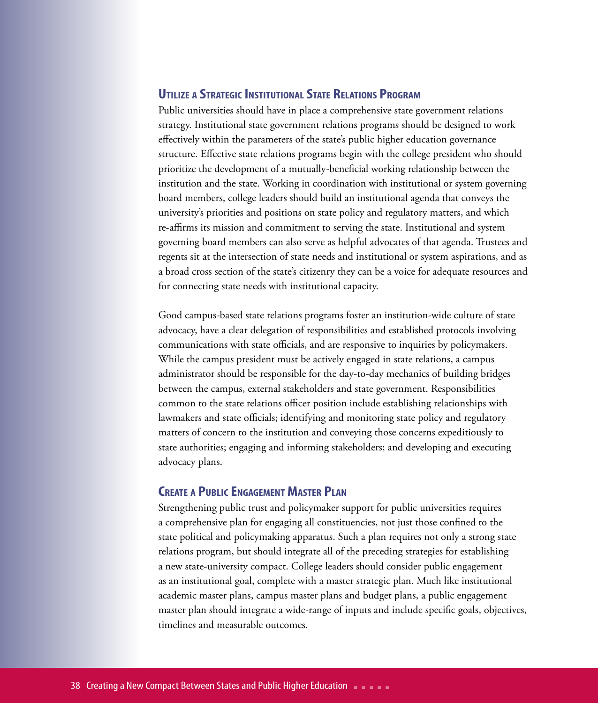### **Utilize <sup>a</sup> Strategic InstitutionalState Relations Program**

Public universities should have in place a comprehensive state government relations strategy. Institutional state government relations programs should be designed to work effectively within the parameters of the state's public higher education governance structure. Effective state relations programs begin with the college president who should prioritize the development of a mutually-beneficial working relationship between the institution and the state. Working in coordination with institutional or system governing board members, college leaders should build an institutional agenda that conveys the university's priorities and positions on state policy and regulatory matters, and which re-affirms its mission and commitment to serving the state. Institutional and system governing board members can also serve as helpful advocates of that agenda. Trustees and regents sit at the intersection of state needs and institutional or system aspirations, and as a broad cross section of the state's citizenry they can be a voice for adequate resources and for connecting state needs with institutional capacity.

Good campus-based state relations programs foster an institution-wide culture of state advocacy, have a clear delegation of responsibilities and established protocols involving communications with state officials, and are responsive to inquiries by policymakers. While the campus president must be actively engaged in state relations, a campus administrator should be responsible for the day-to-day mechanics of building bridges between the campus, external stakeholders and state government. Responsibilities common to the state relations officer position include establishing relationships with lawmakers and state officials; identifying and monitoring state policy and regulatory matters of concern to the institution and conveying those concerns expeditiously to state authorities; engaging and informing stakeholders; and developing and executing advocacy plans.

### **CREATE A PUBLIC ENGAGEMENT MASTER PLAN**

Strengthening public trust and policymaker support for public universities requires a comprehensive plan for engaging all constituencies, not just those confined to the state political and policymaking apparatus. Such a plan requires not only a strong state relations program, but should integrate all of the preceding strategies for establishing a new state-university compact. College leaders should consider public engagement as an institutional goal, complete with a master strategic plan. Much like institutional academic master plans, campus master plans and budget plans, a public engagement master plan should integrate a wide-range of inputs and include specific goals, objectives, timelines and measurable outcomes.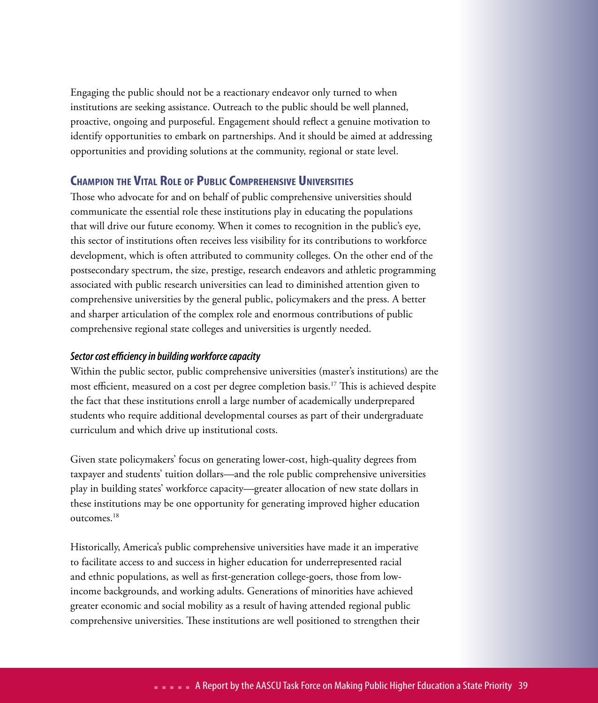Engaging the public should not be a reactionary endeavor only turned to when institutions are seeking assistance. Outreach to the public should be well planned, proactive, ongoing and purposeful. Engagement should reflect a genuine motivation to identify opportunities to embark on partnerships. And it should be aimed at addressing opportunities and providing solutions at the community, regional or state level.

### **Champion the Vital Role of Public Comprehensive Universities**

Those who advocate for and on behalf of public comprehensive universities should communicate the essential role these institutions play in educating the populations that will drive our future economy. When it comes to recognition in the public's eye, this sector of institutions often receives less visibility for its contributions to workforce development, which is often attributed to community colleges. On the other end of the postsecondary spectrum, the size, prestige, research endeavors and athletic programming associated with public research universities can lead to diminished attention given to comprehensive universities by the general public, policymakers and the press. A better and sharper articulation of the complex role and enormous contributions of public comprehensive regional state colleges and universities is urgently needed.

### *Sector cost efficiency in building workforce capacity*

Within the public sector, public comprehensive universities (master's institutions) are the most efficient, measured on a cost per degree completion basis.17 This is achieved despite the fact that these institutions enroll a large number of academically underprepared students who require additional developmental courses as part of their undergraduate curriculum and which drive up institutional costs.

Given state policymakers' focus on generating lower-cost, high-quality degrees from taxpayer and students' tuition dollars—and the role public comprehensive universities play in building states' workforce capacity—greater allocation of new state dollars in these institutions may be one opportunity for generating improved higher education outcomes.18

Historically, America's public comprehensive universities have made it an imperative to facilitate access to and success in higher education for underrepresented racial and ethnic populations, as well as first-generation college-goers, those from lowincome backgrounds, and working adults. Generations of minorities have achieved greater economic and social mobility as a result of having attended regional public comprehensive universities. These institutions are well positioned to strengthen their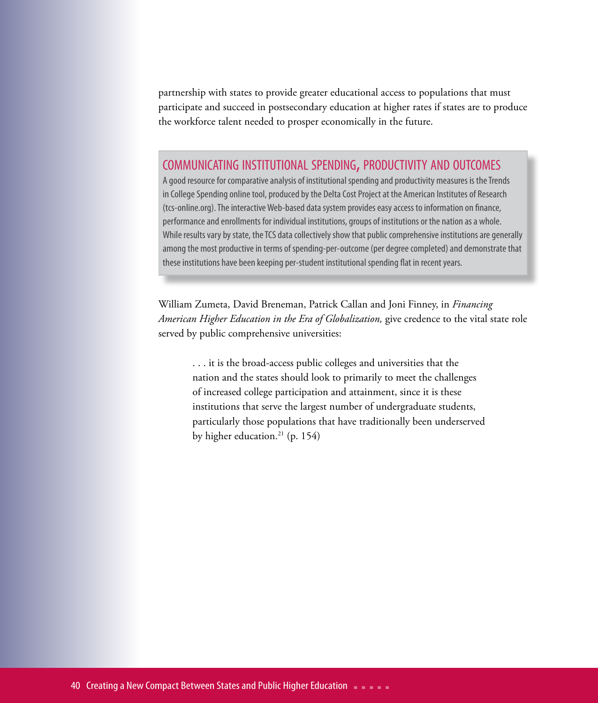partnership with states to provide greater educational access to populations that must participate and succeed in postsecondary education at higher rates if states are to produce the workforce talent needed to prosper economically in the future.

### COMMUNICATING INSTITUTIONAL SPENDING, PRODUCTIVITY AND OUTCOMES

A good resource for comparative analysis of institutional spending and productivity measures is the Trends in College Spending online tool, produced by the Delta Cost Project at the American Institutes of Research (tcs-online.org). The interactive Web-based data system provides easy access to information on finance, performance and enrollments for individual institutions, groups of institutions or the nation as a whole. While results vary by state, the TCS data collectively show that public comprehensive institutions are generally among the most productive in terms of spending-per-outcome (per degree completed) and demonstrate that these institutions have been keeping per-student institutional spending flat in recent years.

William Zumeta, David Breneman, Patrick Callan and Joni Finney, in *Financing American Higher Education in the Era of Globalization,* give credence to the vital state role served by public comprehensive universities:

. . . it is the broad-access public colleges and universities that the nation and the states should look to primarily to meet the challenges of increased college participation and attainment, since it is these institutions that serve the largest number of undergraduate students, particularly those populations that have traditionally been underserved by higher education.<sup>21</sup> (p. 154)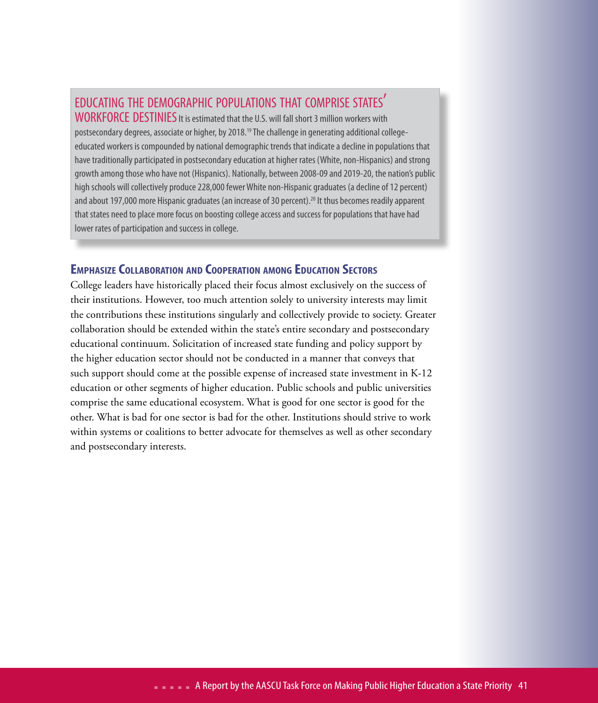### educating the demographic populations that comprise states'

WORKFORCE DESTINIES It is estimated that the U.S. will fall short 3 million workers with postsecondary degrees, associate or higher, by 2018.<sup>19</sup> The challenge in generating additional collegeeducated workers is compounded by national demographic trends that indicate a decline in populations that have traditionally participated in postsecondary education at higher rates (White, non-Hispanics) and strong growth among those who have not (Hispanics). Nationally, between 2008-09 and 2019-20, the nation's public high schools will collectively produce 228,000 fewer White non-Hispanic graduates (a decline of 12 percent) and about 197,000 more Hispanic graduates (an increase of 30 percent).<sup>20</sup> It thus becomes readily apparent that states need to place more focus on boosting college access and success for populations that have had lower rates of participation and success in college.

### **EmphasizeCollaboration and Cooperation among Education Sectors**

College leaders have historically placed their focus almost exclusively on the success of their institutions. However, too much attention solely to university interests may limit the contributions these institutions singularly and collectively provide to society. Greater collaboration should be extended within the state's entire secondary and postsecondary educational continuum. Solicitation of increased state funding and policy support by the higher education sector should not be conducted in a manner that conveys that such support should come at the possible expense of increased state investment in K-12 education or other segments of higher education. Public schools and public universities comprise the same educational ecosystem. What is good for one sector is good for the other. What is bad for one sector is bad for the other. Institutions should strive to work within systems or coalitions to better advocate for themselves as well as other secondary and postsecondary interests.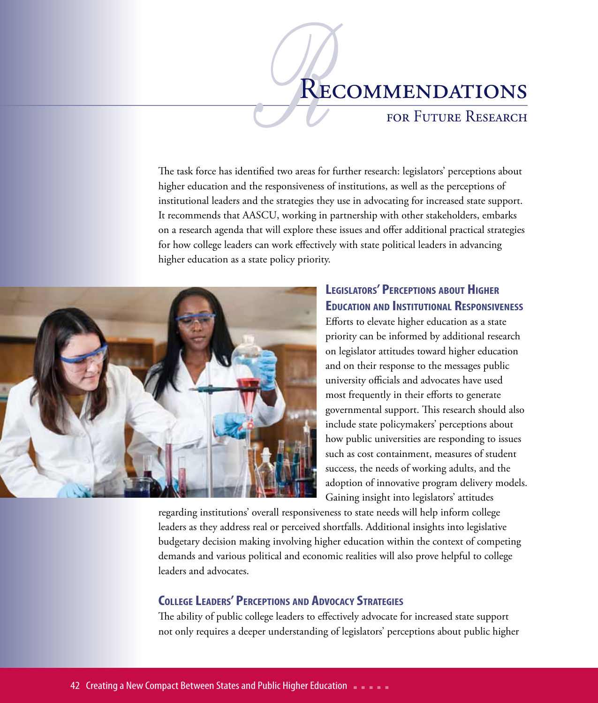### RECOMMENDATIONS

### for Future Research

The task force has identified two areas for further research: legislators' perceptions about higher education and the responsiveness of institutions, as well as the perceptions of institutional leaders and the strategies they use in advocating for increased state support. It recommends that AASCU, working in partnership with other stakeholders, embarks on a research agenda that will explore these issues and offer additional practical strategies for how college leaders can work effectively with state political leaders in advancing higher education as a state policy priority.



### **Legislators' Perceptions about Higher Education and Institutional Responsiveness**

Efforts to elevate higher education as a state priority can be informed by additional research on legislator attitudes toward higher education and on their response to the messages public university officials and advocates have used most frequently in their efforts to generate governmental support. This research should also include state policymakers' perceptions about how public universities are responding to issues such as cost containment, measures of student success, the needs of working adults, and the adoption of innovative program delivery models. Gaining insight into legislators' attitudes

regarding institutions' overall responsiveness to state needs will help inform college leaders as they address real or perceived shortfalls. Additional insights into legislative budgetary decision making involving higher education within the context of competing demands and various political and economic realities will also prove helpful to college leaders and advocates.

### **College Leaders' Perceptions and Advocacy Strategies**

The ability of public college leaders to effectively advocate for increased state support not only requires a deeper understanding of legislators' perceptions about public higher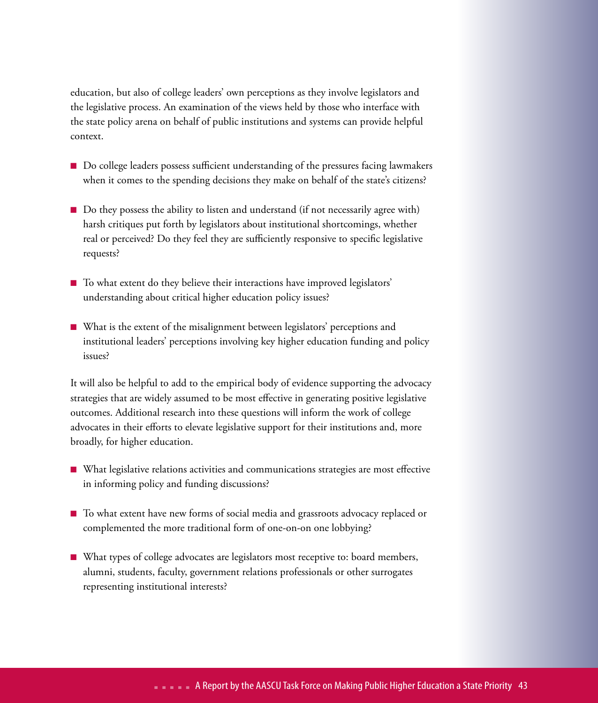education, but also of college leaders' own perceptions as they involve legislators and the legislative process. An examination of the views held by those who interface with the state policy arena on behalf of public institutions and systems can provide helpful context.

- n Do college leaders possess sufficient understanding of the pressures facing lawmakers when it comes to the spending decisions they make on behalf of the state's citizens?
- Do they possess the ability to listen and understand (if not necessarily agree with) harsh critiques put forth by legislators about institutional shortcomings, whether real or perceived? Do they feel they are sufficiently responsive to specific legislative requests?
- To what extent do they believe their interactions have improved legislators' understanding about critical higher education policy issues?
- n What is the extent of the misalignment between legislators' perceptions and institutional leaders' perceptions involving key higher education funding and policy issues?

It will also be helpful to add to the empirical body of evidence supporting the advocacy strategies that are widely assumed to be most effective in generating positive legislative outcomes. Additional research into these questions will inform the work of college advocates in their efforts to elevate legislative support for their institutions and, more broadly, for higher education.

- What legislative relations activities and communications strategies are most effective in informing policy and funding discussions?
- To what extent have new forms of social media and grassroots advocacy replaced or complemented the more traditional form of one-on-on one lobbying?
- n What types of college advocates are legislators most receptive to: board members, alumni, students, faculty, government relations professionals or other surrogates representing institutional interests?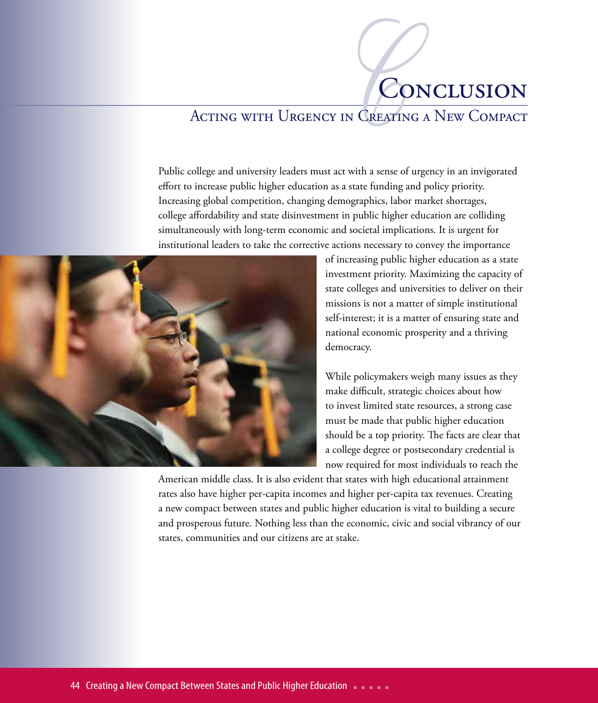# CON CREATING CONCLUSION

### Acting with Urgency in Creating a New Compact

Public college and university leaders must act with a sense of urgency in an invigorated effort to increase public higher education as a state funding and policy priority. Increasing global competition, changing demographics, labor market shortages, college affordability and state disinvestment in public higher education are colliding simultaneously with long-term economic and societal implications. It is urgent for institutional leaders to take the corrective actions necessary to convey the importance



of increasing public higher education as a state investment priority. Maximizing the capacity of state colleges and universities to deliver on their missions is not a matter of simple institutional self-interest; it is a matter of ensuring state and national economic prosperity and a thriving democracy.

While policymakers weigh many issues as they make difficult, strategic choices about how to invest limited state resources, a strong case must be made that public higher education should be a top priority. The facts are clear that a college degree or postsecondary credential is now required for most individuals to reach the

American middle class. It is also evident that states with high educational attainment rates also have higher per-capita incomes and higher per-capita tax revenues. Creating a new compact between states and public higher education is vital to building a secure and prosperous future. Nothing less than the economic, civic and social vibrancy of our states, communities and our citizens are at stake.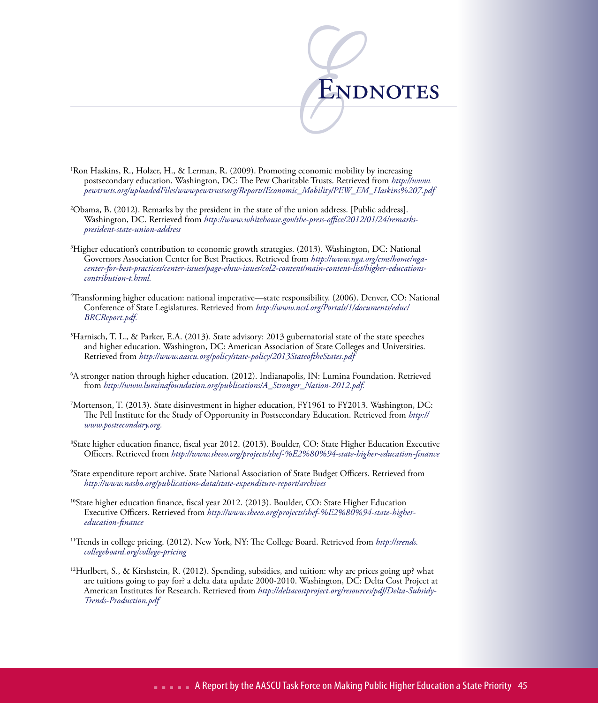

- 1 Ron Haskins, R., Holzer, H., & Lerman, R. (2009). Promoting economic mobility by increasing postsecondary education. Washington, DC: The Pew Charitable Trusts. Retrieved from *http://www. pewtrusts.org/uploadedFiles/wwwpewtrustsorg/Reports/Economic\_Mobility/PEW\_EM\_Haskins%207.pdf*
- 2 Obama, B. (2012). Remarks by the president in the state of the union address. [Public address]. Washington, DC. Retrieved from *http://www.whitehouse.gov/the-press-office/2012/01/24/remarkspresident-state-union-address*
- 3 Higher education's contribution to economic growth strategies. (2013). Washington, DC: National Governors Association Center for Best Practices. Retrieved from *http://www.nga.org/cms/home/ngacenter-for-best-practices/center-issues/page-ehsw-issues/col2-content/main-content-list/higher-educationscontribution-t.html.*
- 4 Transforming higher education: national imperative—state responsibility. (2006). Denver, CO: National Conference of State Legislatures. Retrieved from *http://www.ncsl.org/Portals/1/documents/educ/ BRCReport.pdf.*
- 5 Harnisch, T. L., & Parker, E.A. (2013). State advisory: 2013 gubernatorial state of the state speeches and higher education. Washington, DC: American Association of State Colleges and Universities. Retrieved from *http://www.aascu.org/policy/state-policy/2013StateoftheStates.pdf*
- 6 A stronger nation through higher education. (2012). Indianapolis, IN: Lumina Foundation. Retrieved from *http://www.luminafoundation.org/publications/A\_Stronger\_Nation-2012.pdf.*
- 7 Mortenson, T. (2013). State disinvestment in higher education, FY1961 to FY2013. Washington, DC: The Pell Institute for the Study of Opportunity in Postsecondary Education. Retrieved from *http:// www.postsecondary.org.*
- 8 State higher education finance, fiscal year 2012. (2013). Boulder, CO: State Higher Education Executive Officers. Retrieved from *http://www.sheeo.org/projects/shef-%E2%80%94-state-higher-education-finance*
- 9 State expenditure report archive. State National Association of State Budget Officers. Retrieved from *http://www.nasbo.org/publications-data/state-expenditure-report/archives*
- 10State higher education finance, fiscal year 2012. (2013). Boulder, CO: State Higher Education Executive Officers. Retrieved from *http://www.sheeo.org/projects/shef-%E2%80%94-state-highereducation-finance*
- 11Trends in college pricing. (2012). New York, NY: The College Board. Retrieved from *http://trends. collegeboard.org/college-pricing*
- <sup>12</sup>Hurlbert, S., & Kirshstein, R. (2012). Spending, subsidies, and tuition: why are prices going up? what are tuitions going to pay for? a delta data update 2000-2010. Washington, DC: Delta Cost Project at American Institutes for Research. Retrieved from *http://deltacostproject.org/resources/pdf/Delta-Subsidy-Trends-Production.pdf*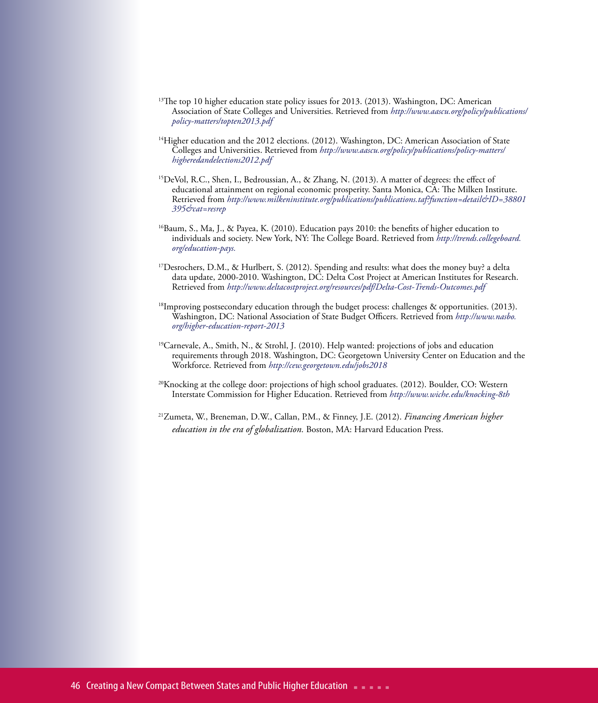- <sup>13</sup>The top 10 higher education state policy issues for 2013. (2013). Washington, DC: American Association of State Colleges and Universities. Retrieved from *http://www.aascu.org/policy/publications/ policy-matters/topten2013.pdf*
- $14$ Higher education and the 2012 elections. (2012). Washington, DC: American Association of State Colleges and Universities. Retrieved from *http://www.aascu.org/policy/publications/policy-matters/ higheredandelections2012.pdf*
- <sup>15</sup>DeVol, R.C., Shen, I., Bedroussian, A., & Zhang, N. (2013). A matter of degrees: the effect of educational attainment on regional economic prosperity. Santa Monica, CA: The Milken Institute. Retrieved from *http://www.milkeninstitute.org/publications/publications.taf?function=detail&ID=38801 395&cat=resrep*
- $^{16}$ Baum, S., Ma, J., & Payea, K. (2010). Education pays 2010: the benefits of higher education to individuals and society. New York, NY: The College Board. Retrieved from *http://trends.collegeboard. org/education-pays.*
- <sup>17</sup>Desrochers, D.M., & Hurlbert, S. (2012). Spending and results: what does the money buy? a delta data update, 2000-2010. Washington, DC: Delta Cost Project at American Institutes for Research. Retrieved from *http://www.deltacostproject.org/resources/pdf/Delta-Cost-Trends-Outcomes.pdf*
- <sup>18</sup>Improving postsecondary education through the budget process: challenges & opportunities. (2013). Washington, DC: National Association of State Budget Officers. Retrieved from *http://www.nasbo. org/higher-education-report-2013*
- <sup>19</sup>Carnevale, A., Smith, N., & Strohl, J. (2010). Help wanted: projections of jobs and education requirements through 2018. Washington, DC: Georgetown University Center on Education and the Workforce. Retrieved from *http://cew.georgetown.edu/jobs2018*
- 20Knocking at the college door: projections of high school graduates. (2012). Boulder, CO: Western Interstate Commission for Higher Education. Retrieved from *http://www.wiche.edu/knocking-8th*
- 21Zumeta, W., Breneman, D.W., Callan, P.M., & Finney, J.E. (2012). *Financing American higher education in the era of globalization.* Boston, MA: Harvard Education Press.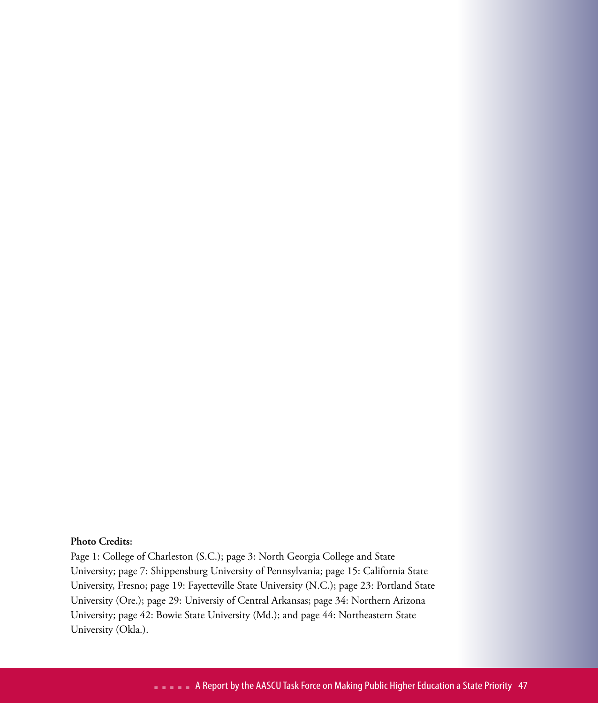### **Photo Credits:**

Page 1: College of Charleston (S.C.); page 3: North Georgia College and State University; page 7: Shippensburg University of Pennsylvania; page 15: California State University, Fresno; page 19: Fayetteville State University (N.C.); page 23: Portland State University (Ore.); page 29: Universiy of Central Arkansas; page 34: Northern Arizona University; page 42: Bowie State University (Md.); and page 44: Northeastern State University (Okla.).